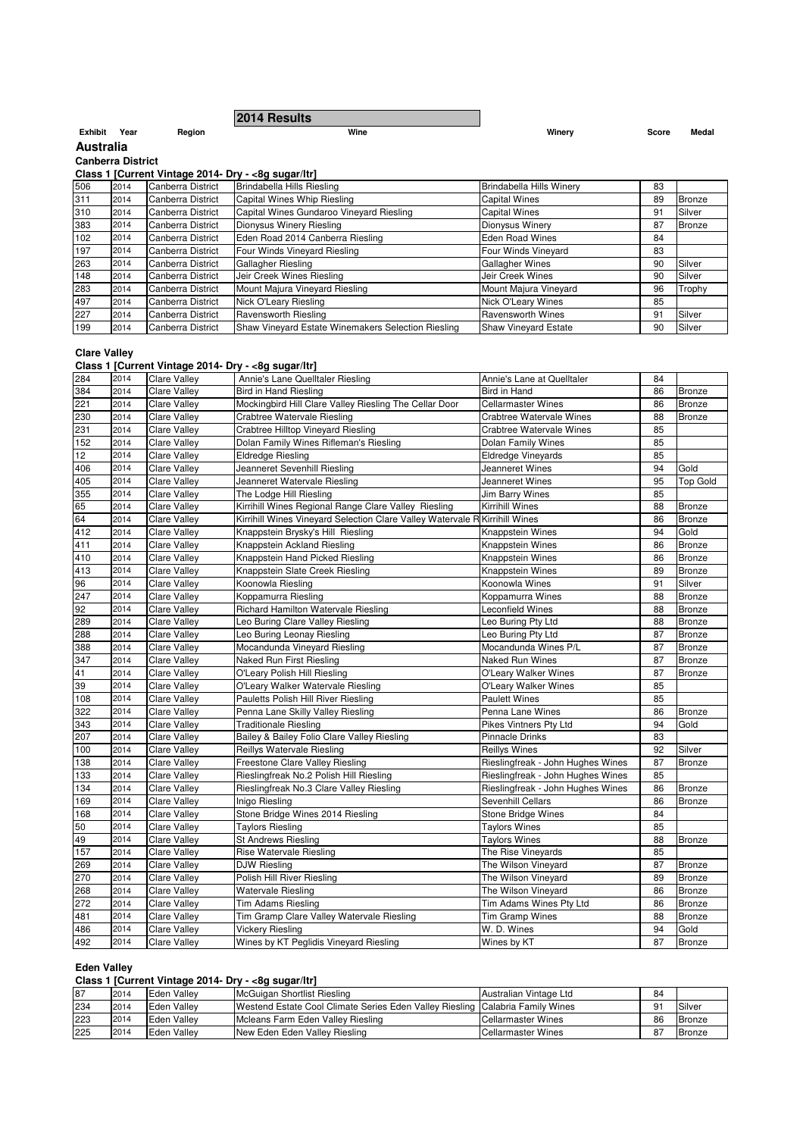|                  |                          |                    | 2014 Results                                        |                                 |       |               |  |  |  |  |
|------------------|--------------------------|--------------------|-----------------------------------------------------|---------------------------------|-------|---------------|--|--|--|--|
| Exhibit          | Year                     | Region             | Wine                                                | Winery                          | Score | Medal         |  |  |  |  |
| <b>Australia</b> |                          |                    |                                                     |                                 |       |               |  |  |  |  |
|                  | <b>Canberra District</b> |                    |                                                     |                                 |       |               |  |  |  |  |
|                  |                          |                    | Class 1 [Current Vintage 2014- Dry - <8g sugar/ltr] |                                 |       |               |  |  |  |  |
| 506              | 2014                     | Canberra District  | Brindabella Hills Riesling                          | <b>Brindabella Hills Winery</b> | 83    |               |  |  |  |  |
| 311              | 2014                     | Canberra District  | Capital Wines Whip Riesling                         | <b>Capital Wines</b>            | 89    | Bronze        |  |  |  |  |
| 310              | 2014                     | Canberra District  | Capital Wines Gundaroo Vineyard Riesling            | <b>Capital Wines</b>            | 91    | Silver        |  |  |  |  |
| 383              | 2014                     | ICanberra District | Dionysus Winery Riesling                            | Dionysus Winery                 | 87    | <b>Bronze</b> |  |  |  |  |
| 102              | 2014                     | Canberra District  | Eden Road 2014 Canberra Riesling                    | <b>Eden Road Wines</b>          | 84    |               |  |  |  |  |
| 197              | 2014                     | Canberra District  | Four Winds Vineyard Riesling                        | Four Winds Vineyard             | 83    |               |  |  |  |  |
| 263              | 2014                     | Canberra District  | Gallagher Riesling                                  | <b>Gallagher Wines</b>          | 90    | Silver        |  |  |  |  |
| 148              | 2014                     | Canberra District  | Jeir Creek Wines Riesling                           | Jeir Creek Wines                | 90    | Silver        |  |  |  |  |
| 283              | 2014                     | Canberra District  | Mount Majura Vineyard Riesling                      | Mount Majura Vineyard           | 96    | Trophy        |  |  |  |  |
| 497              | 2014                     | Canberra District  | Nick O'Leary Riesling                               | <b>Nick O'Leary Wines</b>       | 85    |               |  |  |  |  |
| 227              | 2014                     | Canberra District  | Ravensworth Riesling                                | <b>Ravensworth Wines</b>        | 91    | Silver        |  |  |  |  |

227 2014 Canberra District Ravensworth Riesling Ravensworth Riesling Ravensworth Wines 91 Silver 199 2014 Canberra District Shaw Vineyard Estate Winemakers Selection Riesling Shaw Vineyard Estate 90 Silver

199 Shaw Vineyard Estate Winemakers Selection Riesling Shaw Vineyard Estate 199 Silver

**Clare Valley**

**Class 1 [Current Vintage 2014- Dry - <8g sugar/ltr]**

|     |      | Class I [Current vintage zo i+- Dry - <og iti]<="" sugar="" th=""><th></th><th></th><th></th><th></th></og> |                                                                             |                                   |    |                 |
|-----|------|-------------------------------------------------------------------------------------------------------------|-----------------------------------------------------------------------------|-----------------------------------|----|-----------------|
| 284 | 2014 | <b>Clare Valley</b>                                                                                         | Annie's Lane Quelltaler Riesling                                            | Annie's Lane at Quelltaler        | 84 |                 |
| 384 | 2014 | <b>Clare Valley</b>                                                                                         | <b>Bird in Hand Riesling</b>                                                | Bird in Hand                      | 86 | Bronze          |
| 221 | 2014 | <b>Clare Valley</b>                                                                                         | Mockingbird Hill Clare Valley Riesling The Cellar Door                      | <b>Cellarmaster Wines</b>         | 86 | <b>Bronze</b>   |
| 230 | 2014 | <b>Clare Valley</b>                                                                                         | Crabtree Watervale Riesling                                                 | Crabtree Watervale Wines          | 88 | Bronze          |
| 231 | 2014 | <b>Clare Valley</b>                                                                                         | <b>Crabtree Hilltop Vineyard Riesling</b>                                   | Crabtree Watervale Wines          | 85 |                 |
| 152 | 2014 | <b>Clare Valley</b>                                                                                         | Dolan Family Wines Rifleman's Riesling                                      | Dolan Family Wines                | 85 |                 |
| 12  | 2014 | <b>Clare Valley</b>                                                                                         | Eldredge Riesling                                                           | <b>Eldredge Vineyards</b>         | 85 |                 |
| 406 | 2014 | <b>Clare Valley</b>                                                                                         | Jeanneret Sevenhill Riesling                                                | Jeanneret Wines                   | 94 | Gold            |
| 405 | 2014 | <b>Clare Valley</b>                                                                                         | Jeanneret Watervale Riesling                                                | Jeanneret Wines                   | 95 | <b>Top Gold</b> |
| 355 | 2014 | <b>Clare Valley</b>                                                                                         | The Lodge Hill Riesling                                                     | Jim Barry Wines                   | 85 |                 |
| 65  | 2014 | <b>Clare Valley</b>                                                                                         | Kirrihill Wines Regional Range Clare Valley Riesling                        | Kirrihill Wines                   | 88 | Bronze          |
| 64  | 2014 | <b>Clare Valley</b>                                                                                         | Kirrihill Wines Vineyard Selection Clare Valley Watervale R Kirrihill Wines |                                   | 86 | <b>Bronze</b>   |
| 412 | 2014 | <b>Clare Valley</b>                                                                                         | Knappstein Brysky's Hill Riesling                                           | Knappstein Wines                  | 94 | Gold            |
| 411 | 2014 | <b>Clare Valley</b>                                                                                         | Knappstein Ackland Riesling                                                 | Knappstein Wines                  | 86 | <b>Bronze</b>   |
| 410 | 2014 | <b>Clare Valley</b>                                                                                         | Knappstein Hand Picked Riesling                                             | Knappstein Wines                  | 86 | <b>Bronze</b>   |
| 413 | 2014 | <b>Clare Valley</b>                                                                                         | Knappstein Slate Creek Riesling                                             | Knappstein Wines                  | 89 | <b>Bronze</b>   |
| 96  | 2014 | <b>Clare Valley</b>                                                                                         | Koonowla Riesling                                                           | Koonowla Wines                    | 91 | Silver          |
| 247 | 2014 | <b>Clare Valley</b>                                                                                         | Koppamurra Riesling                                                         | Koppamurra Wines                  | 88 | <b>Bronze</b>   |
| 92  | 2014 | <b>Clare Valley</b>                                                                                         | Richard Hamilton Watervale Riesling                                         | Leconfield Wines                  | 88 | <b>Bronze</b>   |
| 289 | 2014 | <b>Clare Valley</b>                                                                                         | Leo Buring Clare Valley Riesling                                            | Leo Buring Pty Ltd                | 88 | <b>Bronze</b>   |
| 288 | 2014 | <b>Clare Valley</b>                                                                                         | Leo Buring Leonay Riesling                                                  | Leo Buring Pty Ltd                | 87 | <b>Bronze</b>   |
| 388 | 2014 | <b>Clare Valley</b>                                                                                         | Mocandunda Vineyard Riesling                                                | Mocandunda Wines P/L              | 87 | <b>Bronze</b>   |
| 347 | 2014 | <b>Clare Valley</b>                                                                                         | Naked Run First Riesling                                                    | <b>Naked Run Wines</b>            | 87 | <b>Bronze</b>   |
| 41  | 2014 | <b>Clare Valley</b>                                                                                         | O'Leary Polish Hill Riesling                                                | O'Leary Walker Wines              | 87 | <b>Bronze</b>   |
| 39  | 2014 | <b>Clare Valley</b>                                                                                         | O'Leary Walker Watervale Riesling                                           | O'Leary Walker Wines              | 85 |                 |
| 108 | 2014 | <b>Clare Valley</b>                                                                                         | Pauletts Polish Hill River Riesling                                         | <b>Paulett Wines</b>              | 85 |                 |
| 322 | 2014 | <b>Clare Valley</b>                                                                                         | Penna Lane Skilly Valley Riesling                                           | Penna Lane Wines                  | 86 | <b>Bronze</b>   |
| 343 | 2014 | <b>Clare Valley</b>                                                                                         | <b>Traditionale Riesling</b>                                                | Pikes Vintners Pty Ltd            | 94 | Gold            |
| 207 | 2014 | <b>Clare Valley</b>                                                                                         | Bailey & Bailey Folio Clare Valley Riesling                                 | Pinnacle Drinks                   | 83 |                 |
| 100 | 2014 | <b>Clare Valley</b>                                                                                         | Reillys Watervale Riesling                                                  | Reillys Wines                     | 92 | Silver          |
| 138 | 2014 | <b>Clare Valley</b>                                                                                         | Freestone Clare Valley Riesling                                             | Rieslingfreak - John Hughes Wines | 87 | Bronze          |
| 133 | 2014 | <b>Clare Valley</b>                                                                                         | Rieslingfreak No.2 Polish Hill Riesling                                     | Rieslingfreak - John Hughes Wines | 85 |                 |
| 134 | 2014 | <b>Clare Valley</b>                                                                                         | Rieslingfreak No.3 Clare Valley Riesling                                    | Rieslingfreak - John Hughes Wines | 86 | Bronze          |
| 169 | 2014 | <b>Clare Valley</b>                                                                                         | Inigo Riesling                                                              | Sevenhill Cellars                 | 86 | <b>Bronze</b>   |
| 168 | 2014 | <b>Clare Valley</b>                                                                                         | Stone Bridge Wines 2014 Riesling                                            | Stone Bridge Wines                | 84 |                 |
| 50  | 2014 | <b>Clare Valley</b>                                                                                         | <b>Taylors Riesling</b>                                                     | <b>Taylors Wines</b>              | 85 |                 |
| 49  | 2014 | <b>Clare Valley</b>                                                                                         | St Andrews Riesling                                                         | <b>Taylors Wines</b>              | 88 | <b>Bronze</b>   |
| 157 | 2014 | <b>Clare Valley</b>                                                                                         | <b>Rise Watervale Riesling</b>                                              | The Rise Vineyards                | 85 |                 |
| 269 | 2014 | <b>Clare Valley</b>                                                                                         | <b>DJW Riesling</b>                                                         | The Wilson Vineyard               | 87 | <b>Bronze</b>   |
| 270 | 2014 | <b>Clare Valley</b>                                                                                         | Polish Hill River Riesling                                                  | The Wilson Vineyard               | 89 | <b>Bronze</b>   |
| 268 | 2014 | <b>Clare Valley</b>                                                                                         | <b>Watervale Riesling</b>                                                   | The Wilson Vineyard               | 86 | <b>Bronze</b>   |
| 272 | 2014 | <b>Clare Valley</b>                                                                                         | <b>Tim Adams Riesling</b>                                                   | Tim Adams Wines Pty Ltd           | 86 | <b>Bronze</b>   |
| 481 | 2014 | <b>Clare Valley</b>                                                                                         | Tim Gramp Clare Valley Watervale Riesling                                   | Tim Gramp Wines                   | 88 | <b>Bronze</b>   |
| 486 | 2014 | <b>Clare Valley</b>                                                                                         | <b>Vickery Riesling</b>                                                     | W. D. Wines                       | 94 | Gold            |
| 492 | 2014 | <b>Clare Valley</b>                                                                                         | Wines by KT Peglidis Vineyard Riesling                                      | Wines by KT                       | 87 | <b>Bronze</b>   |

#### **Eden Valley**

#### **Class 1 [Current Vintage 2014- Dry - <8g sugar/ltr]**

| 87  | 2014 | Eden Vallev | McGuigan Shortlist Riesling                                                     | Australian Vintage Ltd    | 84 |        |
|-----|------|-------------|---------------------------------------------------------------------------------|---------------------------|----|--------|
| 234 | 2014 | Eden Valley | Westend Estate Cool Climate Series Eden Valley Riesling   Calabria Family Wines |                           | a٠ | Silver |
| 223 | 2014 | Eden Valley | Mcleans Farm Eden Valley Riesling                                               | <b>Cellarmaster Wines</b> | 86 | Bronze |
| 225 | 2014 | Eden Valley | New Eden Eden Valley Riesling                                                   | <b>Cellarmaster Wines</b> | 87 | Bronze |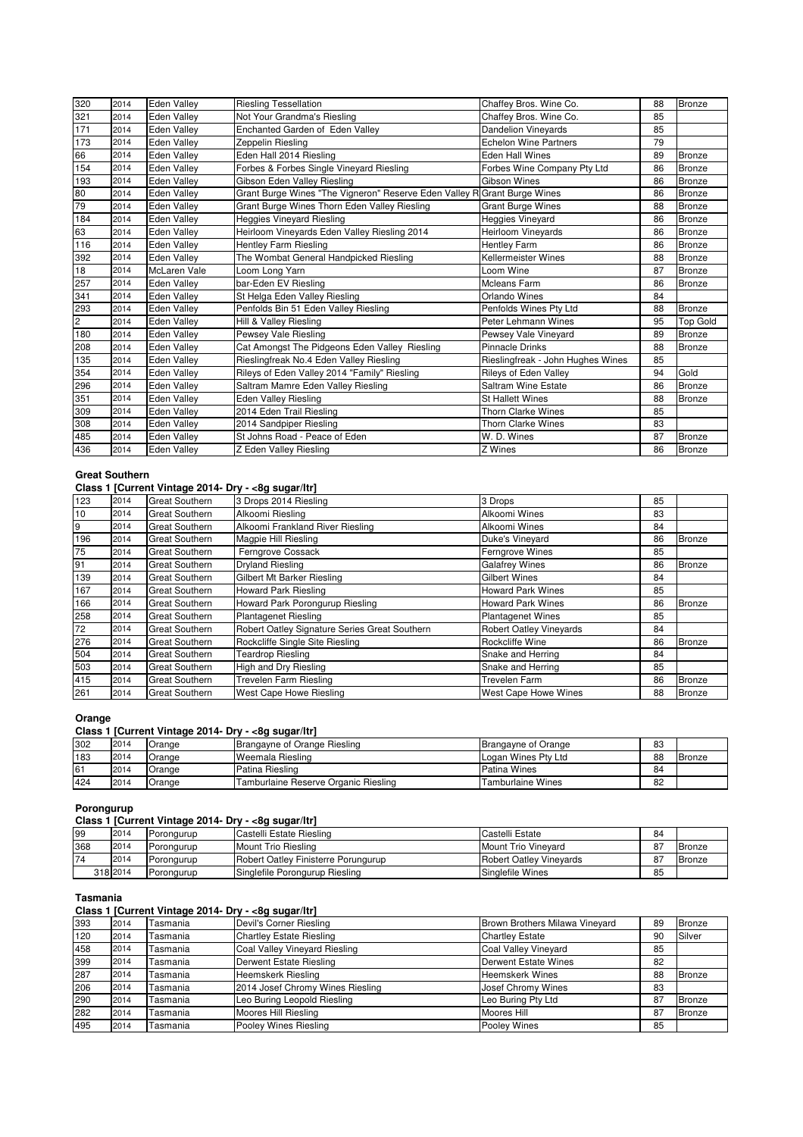| 320            | 2014 | <b>Eden Valley</b> | <b>Riesling Tessellation</b>                                             | Chaffey Bros. Wine Co.            | 88 | Bronze          |
|----------------|------|--------------------|--------------------------------------------------------------------------|-----------------------------------|----|-----------------|
| 321            | 2014 | <b>Eden Valley</b> | Not Your Grandma's Riesling                                              | Chaffey Bros, Wine Co.            | 85 |                 |
| 171            | 2014 | <b>Eden Vallev</b> | Enchanted Garden of Eden Vallev                                          | <b>Dandelion Vinevards</b>        | 85 |                 |
| 173            | 2014 | <b>Eden Valley</b> | Zeppelin Riesling                                                        | <b>Echelon Wine Partners</b>      | 79 |                 |
| 66             | 2014 | <b>Eden Valley</b> | Eden Hall 2014 Riesling                                                  | Eden Hall Wines                   | 89 | Bronze          |
| 154            | 2014 | <b>Eden Vallev</b> | Forbes & Forbes Single Vineyard Riesling                                 | Forbes Wine Company Pty Ltd       | 86 | <b>Bronze</b>   |
| 193            | 2014 | <b>Eden Vallev</b> | Gibson Eden Valley Riesling                                              | Gibson Wines                      | 86 | Bronze          |
| 80             | 2014 | <b>Eden Valley</b> | Grant Burge Wines "The Vigneron" Reserve Eden Valley R Grant Burge Wines |                                   | 86 | Bronze          |
| 79             | 2014 | <b>Eden Valley</b> | Grant Burge Wines Thorn Eden Valley Riesling                             | <b>Grant Burge Wines</b>          | 88 | <b>Bronze</b>   |
| 184            | 2014 | <b>Eden Vallev</b> | <b>Heggies Vineyard Riesling</b>                                         | Heggies Vineyard                  | 86 | Bronze          |
| 63             | 2014 | <b>Eden Valley</b> | Heirloom Vinevards Eden Valley Riesling 2014                             | <b>Heirloom Vinevards</b>         | 86 | Bronze          |
| 116            | 2014 | <b>Eden Vallev</b> | <b>Hentley Farm Riesling</b>                                             | <b>Hentley Farm</b>               | 86 | <b>Bronze</b>   |
| 392            | 2014 | <b>Eden Valley</b> | The Wombat General Handpicked Riesling                                   | Kellermeister Wines               | 88 | Bronze          |
| 18             | 2014 | McLaren Vale       | Loom Long Yarn                                                           | Loom Wine                         | 87 | Bronze          |
| 257            | 2014 | <b>Eden Valley</b> | bar-Eden EV Riesling                                                     | <b>Mcleans Farm</b>               | 86 | <b>Bronze</b>   |
| 341            | 2014 | <b>Eden Valley</b> | St Helga Eden Valley Riesling                                            | Orlando Wines                     | 84 |                 |
| 293            | 2014 | <b>Eden Valley</b> | Penfolds Bin 51 Eden Valley Riesling                                     | Penfolds Wines Pty Ltd            | 88 | Bronze          |
| $\overline{c}$ | 2014 | <b>Eden Valley</b> | Hill & Valley Riesling                                                   | Peter Lehmann Wines               | 95 | <b>Top Gold</b> |
| 180            | 2014 | <b>Eden Valley</b> | Pewsey Vale Riesling                                                     | Pewsey Vale Vineyard              | 89 | <b>Bronze</b>   |
| 208            | 2014 | <b>Eden Vallev</b> | Cat Amongst The Pidgeons Eden Valley Riesling                            | <b>Pinnacle Drinks</b>            | 88 | <b>Bronze</b>   |
| 135            | 2014 | <b>Eden Vallev</b> | Rieslingfreak No.4 Eden Valley Riesling                                  | Rieslingfreak - John Hughes Wines | 85 |                 |
| 354            | 2014 | <b>Eden Valley</b> | Rileys of Eden Valley 2014 "Family" Riesling                             | <b>Rileys of Eden Valley</b>      | 94 | Gold            |
| 296            | 2014 | <b>Eden Valley</b> | Saltram Mamre Eden Valley Riesling                                       | Saltram Wine Estate               | 86 | <b>Bronze</b>   |
| 351            | 2014 | <b>Eden Valley</b> | <b>Eden Valley Riesling</b>                                              | <b>St Hallett Wines</b>           | 88 | Bronze          |
| 309            | 2014 | <b>Eden Valley</b> | 2014 Eden Trail Riesling                                                 | <b>Thorn Clarke Wines</b>         | 85 |                 |
| 308            | 2014 | <b>Eden Valley</b> | 2014 Sandpiper Riesling                                                  | <b>Thorn Clarke Wines</b>         | 83 |                 |
| 485            | 2014 | <b>Eden Valley</b> | St Johns Road - Peace of Eden                                            | W. D. Wines                       | 87 | Bronze          |
| 436            | 2014 | <b>Eden Valley</b> | Z Eden Valley Riesling                                                   | Z Wines                           | 86 | Bronze          |

## **Great Southern**

#### **Class 1 [Current Vintage 2014- Dry - <8g sugar/ltr]**

| 123 | 2014 | <b>Great Southern</b> | 3 Drops 2014 Riesling                         | 3 Drops                        | 85 |               |
|-----|------|-----------------------|-----------------------------------------------|--------------------------------|----|---------------|
| 10  | 2014 | <b>Great Southern</b> | Alkoomi Riesling                              | Alkoomi Wines                  | 83 |               |
| 9   | 2014 | <b>Great Southern</b> | Alkoomi Frankland River Riesling              | Alkoomi Wines                  | 84 |               |
| 196 | 2014 | <b>Great Southern</b> | Magpie Hill Riesling                          | Duke's Vineyard                | 86 | <b>Bronze</b> |
| 75  | 2014 | <b>Great Southern</b> | Ferngrove Cossack                             | <b>Ferngrove Wines</b>         | 85 |               |
| 91  | 2014 | <b>Great Southern</b> | <b>Dryland Riesling</b>                       | <b>Galafrey Wines</b>          | 86 | <b>Bronze</b> |
| 139 | 2014 | <b>Great Southern</b> | Gilbert Mt Barker Riesling                    | <b>Gilbert Wines</b>           | 84 |               |
| 167 | 2014 | <b>Great Southern</b> | Howard Park Riesling                          | <b>Howard Park Wines</b>       | 85 |               |
| 166 | 2014 | <b>Great Southern</b> | Howard Park Porongurup Riesling               | <b>Howard Park Wines</b>       | 86 | Bronze        |
| 258 | 2014 | <b>Great Southern</b> | <b>Plantagenet Riesling</b>                   | <b>Plantagenet Wines</b>       | 85 |               |
| 72  | 2014 | <b>Great Southern</b> | Robert Oatley Signature Series Great Southern | <b>Robert Oatley Vineyards</b> | 84 |               |
| 276 | 2014 | <b>Great Southern</b> | Rockcliffe Single Site Riesling               | Rockcliffe Wine                | 86 | <b>Bronze</b> |
| 504 | 2014 | <b>Great Southern</b> | <b>Teardrop Riesling</b>                      | Snake and Herring              | 84 |               |
| 503 | 2014 | <b>Great Southern</b> | High and Dry Riesling                         | Snake and Herring              | 85 |               |
| 415 | 2014 | <b>Great Southern</b> | Trevelen Farm Riesling                        | <b>Trevelen Farm</b>           | 86 | Bronze        |
| 261 | 2014 | <b>Great Southern</b> | West Cape Howe Riesling                       | West Cape Howe Wines           | 88 | <b>Bronze</b> |

## **Orange**

## **Class 1 [Current Vintage 2014- Dry - <8g sugar/ltr]**

| 302 | 2014 | Orange | Brangayne of Orange Riesling         | Brangayne of Orange      | 83 |               |
|-----|------|--------|--------------------------------------|--------------------------|----|---------------|
| 183 | 2014 | Orange | Weemala Riesling                     | Logan Wines Pty Ltd      | 88 | <b>Bronze</b> |
| 61  | 2014 | Orange | Patina Riesling                      | Patina Wines             | 84 |               |
| 424 | 2014 | Orange | Tamburlaine Reserve Organic Riesling | <b>Tamburlaine Wines</b> | 82 |               |

#### **Porongurup**

#### **Class 1 [Current Vintage 2014- Dry - <8g sugar/ltr]**

| 99  | 2014     | Porongurup | Castelli Estate Riesling            | Castelli Estate         | 84  |               |
|-----|----------|------------|-------------------------------------|-------------------------|-----|---------------|
| 368 | 2014     | Porongurup | Mount Trio Riesling                 | Mount Trio Vinevard     | 87  | Bronze        |
| 74  | 2014     | Porongurup | Robert Oatlev Finisterre Porungurup | Robert Oatley Vinevards | -87 | <b>Bronze</b> |
|     | 318 2014 | Porongurup | Singlefile Porongurup Riesling      | Singlefile Wines        | 85  |               |

#### **Tasmania**

#### **Class 1 [Current Vintage 2014- Dry - <8g sugar/ltr]**

| 393 | 2014 | Tasmania | Devil's Corner Riesling          | Brown Brothers Milawa Vineyard | 89 | <b>Bronze</b> |
|-----|------|----------|----------------------------------|--------------------------------|----|---------------|
| 120 | 2014 | Tasmania | <b>Chartley Estate Riesling</b>  | <b>Chartley Estate</b>         | 90 | Silver        |
| 458 | 2014 | Tasmania | Coal Valley Vineyard Riesling    | Coal Valley Vineyard           | 85 |               |
| 399 | 2014 | Tasmania | Derwent Estate Riesling          | Derwent Estate Wines           | 82 |               |
| 287 | 2014 | Tasmania | <b>Heemskerk Riesling</b>        | <b>Heemskerk Wines</b>         | 88 | Bronze        |
| 206 | 2014 | Tasmania | 2014 Josef Chromy Wines Riesling | Josef Chromy Wines             | 83 |               |
| 290 | 2014 | Tasmania | Leo Buring Leopold Riesling      | Leo Buring Pty Ltd             | 87 | <b>Bronze</b> |
| 282 | 2014 | Tasmania | Moores Hill Riesling             | Moores Hill                    | 87 | Bronze        |
| 495 | 2014 | Tasmania | Pooley Wines Riesling            | Pooley Wines                   | 85 |               |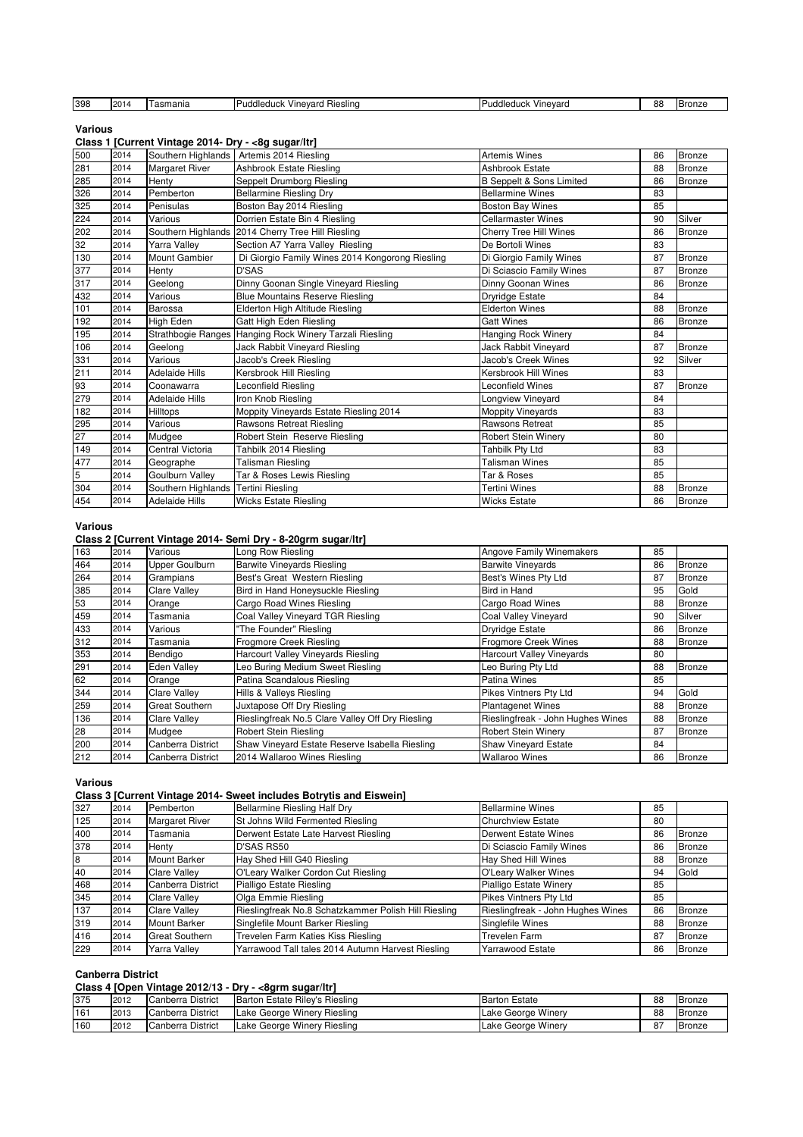| 398 | $\sim$<br>∪∠ו | asmania | dleduc<br><b>Hiesling</b><br>evard<br>$\frac{1}{n}$<br>ше | <br>--<br><b>Puddleduck</b><br>Vinevard | 88 | . UHAF |
|-----|---------------|---------|-----------------------------------------------------------|-----------------------------------------|----|--------|
|     |               |         |                                                           |                                         |    |        |

**Various**

#### **Class 1 [Current Vintage 2014- Dry - <8g sugar/ltr]**

| 500 | 2014 | Southern Highlands                  | Artemis 2014 Riesling                                   | <b>Artemis Wines</b>            | 86 | <b>Bronze</b> |
|-----|------|-------------------------------------|---------------------------------------------------------|---------------------------------|----|---------------|
| 281 | 2014 | <b>Margaret River</b>               | Ashbrook Estate Riesling                                | Ashbrook Estate                 | 88 | Bronze        |
| 285 | 2014 | Henty                               | Seppelt Drumborg Riesling                               | <b>B</b> Seppelt & Sons Limited | 86 | <b>Bronze</b> |
| 326 | 2014 | Pemberton                           | <b>Bellarmine Riesling Dry</b>                          | <b>Bellarmine Wines</b>         | 83 |               |
| 325 | 2014 | Penisulas                           | Boston Bay 2014 Riesling                                | <b>Boston Bay Wines</b>         | 85 |               |
| 224 | 2014 | Various                             | Dorrien Estate Bin 4 Riesling                           | <b>Cellarmaster Wines</b>       | 90 | Silver        |
| 202 | 2014 |                                     | Southern Highlands 2014 Cherry Tree Hill Riesling       | <b>Cherry Tree Hill Wines</b>   | 86 | <b>Bronze</b> |
| 32  | 2014 | Yarra Valley                        | Section A7 Yarra Valley Riesling                        | De Bortoli Wines                | 83 |               |
| 130 | 2014 | <b>Mount Gambier</b>                | Di Giorgio Family Wines 2014 Kongorong Riesling         | Di Giorgio Family Wines         | 87 | Bronze        |
| 377 | 2014 | Henty                               | D'SAS                                                   | Di Sciascio Family Wines        | 87 | Bronze        |
| 317 | 2014 | Geelong                             | Dinny Goonan Single Vineyard Riesling                   | Dinny Goonan Wines              | 86 | Bronze        |
| 432 | 2014 | Various                             | <b>Blue Mountains Reserve Riesling</b>                  | Dryridge Estate                 | 84 |               |
| 101 | 2014 | <b>Barossa</b>                      | Elderton High Altitude Riesling                         | <b>Elderton Wines</b>           | 88 | <b>Bronze</b> |
| 192 | 2014 | High Eden                           | Gatt High Eden Riesling                                 | <b>Gatt Wines</b>               | 86 | <b>Bronze</b> |
| 195 | 2014 |                                     | Strathbogie Ranges Hanging Rock Winery Tarzali Riesling | <b>Hanging Rock Winery</b>      | 84 |               |
| 106 | 2014 | Geelong                             | Jack Rabbit Vineyard Riesling                           | Jack Rabbit Vinevard            | 87 | <b>Bronze</b> |
| 331 | 2014 | Various                             | Jacob's Creek Riesling                                  | Jacob's Creek Wines             | 92 | Silver        |
| 211 | 2014 | <b>Adelaide Hills</b>               | Kersbrook Hill Riesling                                 | Kersbrook Hill Wines            | 83 |               |
| 93  | 2014 | Coonawarra                          | Leconfield Riesling                                     | Leconfield Wines                | 87 | <b>Bronze</b> |
| 279 | 2014 | <b>Adelaide Hills</b>               | Iron Knob Riesling                                      | Longview Vineyard               | 84 |               |
| 182 | 2014 | <b>Hilltops</b>                     | Moppity Vineyards Estate Riesling 2014                  | <b>Moppity Vineyards</b>        | 83 |               |
| 295 | 2014 | Various                             | Rawsons Retreat Riesling                                | <b>Rawsons Retreat</b>          | 85 |               |
| 27  | 2014 | Mudgee                              | Robert Stein Reserve Riesling                           | <b>Robert Stein Winery</b>      | 80 |               |
| 149 | 2014 | <b>Central Victoria</b>             | Tahbilk 2014 Riesling                                   | Tahbilk Pty Ltd                 | 83 |               |
| 477 | 2014 | Geographe                           | <b>Talisman Riesling</b>                                | <b>Talisman Wines</b>           | 85 |               |
| 5   | 2014 | Goulburn Valley                     | Tar & Roses Lewis Riesling                              | Tar & Roses                     | 85 |               |
| 304 | 2014 | Southern Highlands Tertini Riesling |                                                         | <b>Tertini Wines</b>            | 88 | <b>Bronze</b> |
| 454 | 2014 | <b>Adelaide Hills</b>               | <b>Wicks Estate Riesling</b>                            | <b>Wicks Estate</b>             | 86 | <b>Bronze</b> |

#### **Various**

#### **Class 2 [Current Vintage 2014- Semi Dry - 8-20grm sugar/ltr]**

| 163 | 2014 | Various               | Long Row Riesling                                | <b>Angove Family Winemakers</b>   | 85 |               |
|-----|------|-----------------------|--------------------------------------------------|-----------------------------------|----|---------------|
| 464 | 2014 | Upper Goulburn        | <b>Barwite Vineyards Riesling</b>                | <b>Barwite Vineyards</b>          | 86 | Bronze        |
| 264 | 2014 | Grampians             | Best's Great Western Riesling                    | Best's Wines Pty Ltd              | 87 | <b>Bronze</b> |
| 385 | 2014 | <b>Clare Valley</b>   | Bird in Hand Honeysuckle Riesling                | Bird in Hand                      | 95 | Gold          |
| 53  | 2014 | Orange                | Cargo Road Wines Riesling                        | Cargo Road Wines                  | 88 | <b>Bronze</b> |
| 459 | 2014 | Tasmania              | Coal Valley Vineyard TGR Riesling                | Coal Valley Vineyard              | 90 | Silver        |
| 433 | 2014 | Various               | "The Founder" Riesling                           | <b>Dryridge Estate</b>            | 86 | <b>Bronze</b> |
| 312 | 2014 | Tasmania              | Frogmore Creek Riesling                          | <b>Frogmore Creek Wines</b>       | 88 | <b>Bronze</b> |
| 353 | 2014 | Bendigo               | Harcourt Valley Vineyards Riesling               | <b>Harcourt Valley Vineyards</b>  | 80 |               |
| 291 | 2014 | <b>Eden Valley</b>    | Leo Buring Medium Sweet Riesling                 | Leo Buring Pty Ltd                | 88 | <b>Bronze</b> |
| 62  | 2014 | Orange                | Patina Scandalous Riesling                       | Patina Wines                      | 85 |               |
| 344 | 2014 | <b>Clare Valley</b>   | Hills & Valleys Riesling                         | Pikes Vintners Pty Ltd            | 94 | Gold          |
| 259 | 2014 | <b>Great Southern</b> | Juxtapose Off Dry Riesling                       | <b>Plantagenet Wines</b>          | 88 | <b>Bronze</b> |
| 136 | 2014 | <b>Clare Valley</b>   | Rieslingfreak No.5 Clare Valley Off Dry Riesling | Rieslingfreak - John Hughes Wines | 88 | <b>Bronze</b> |
| 28  | 2014 | Mudgee                | Robert Stein Riesling                            | <b>Robert Stein Winery</b>        | 87 | <b>Bronze</b> |
| 200 | 2014 | Canberra District     | Shaw Vineyard Estate Reserve Isabella Riesling   | <b>Shaw Vineyard Estate</b>       | 84 |               |
| 212 | 2014 | Canberra District     | 2014 Wallaroo Wines Riesling                     | <b>Wallaroo Wines</b>             | 86 | <b>Bronze</b> |

#### **Various**

#### **Class 3 [Current Vintage 2014- Sweet includes Botrytis and Eiswein]**

| 327 | 2014 | Pemberton             | <b>Bellarmine Riesling Half Dry</b>                  | <b>Bellarmine Wines</b>           | 85 |               |
|-----|------|-----------------------|------------------------------------------------------|-----------------------------------|----|---------------|
| 125 | 2014 | <b>Margaret River</b> | St Johns Wild Fermented Riesling                     | <b>Churchview Estate</b>          | 80 |               |
| 400 | 2014 | Tasmania              | Derwent Estate Late Harvest Riesling                 | Derwent Estate Wines              | 86 | Bronze        |
| 378 | 2014 | Henty                 | D'SAS RS50                                           | Di Sciascio Family Wines          | 86 | Bronze        |
| 8   | 2014 | <b>Mount Barker</b>   | Hay Shed Hill G40 Riesling                           | Hay Shed Hill Wines               | 88 | <b>Bronze</b> |
| 40  | 2014 | <b>Clare Valley</b>   | O'Leary Walker Cordon Cut Riesling                   | O'Leary Walker Wines              | 94 | Gold          |
| 468 | 2014 | Canberra District     | Pialligo Estate Riesling                             | <b>Pialligo Estate Winery</b>     | 85 |               |
| 345 | 2014 | <b>Clare Valley</b>   | Olga Emmie Riesling                                  | Pikes Vintners Pty Ltd            | 85 |               |
| 137 | 2014 | <b>Clare Valley</b>   | Rieslingfreak No.8 Schatzkammer Polish Hill Riesling | Rieslingfreak - John Hughes Wines | 86 | Bronze        |
| 319 | 2014 | <b>Mount Barker</b>   | Singlefile Mount Barker Riesling                     | Singlefile Wines                  | 88 | <b>Bronze</b> |
| 416 | 2014 | <b>Great Southern</b> | Trevelen Farm Katies Kiss Riesling                   | Trevelen Farm                     | 87 | <b>Bronze</b> |
| 229 | 2014 | Yarra Valley          | Yarrawood Tall tales 2014 Autumn Harvest Riesling    | <b>Yarrawood Estate</b>           | 86 | Bronze        |

#### **Canberra District**

## **Class 4 [Open Vintage 2012/13 - Dry - <8grm sugar/ltr]**

| ----- |      | .                 | .                              |                      |    |               |
|-------|------|-------------------|--------------------------------|----------------------|----|---------------|
| 375   | 2012 | Canberra District | Barton Estate Rilev's Riesling | <b>Barton Estate</b> | 88 | Bronze        |
| 161   | 2013 | Canberra District | Lake George Winery Riesling    | Lake George Winery   | 88 | <b>Bronze</b> |
| 160   | 2012 | Canberra District | Lake George Winery Riesling    | Lake George Winery   | 87 | <b>Bronze</b> |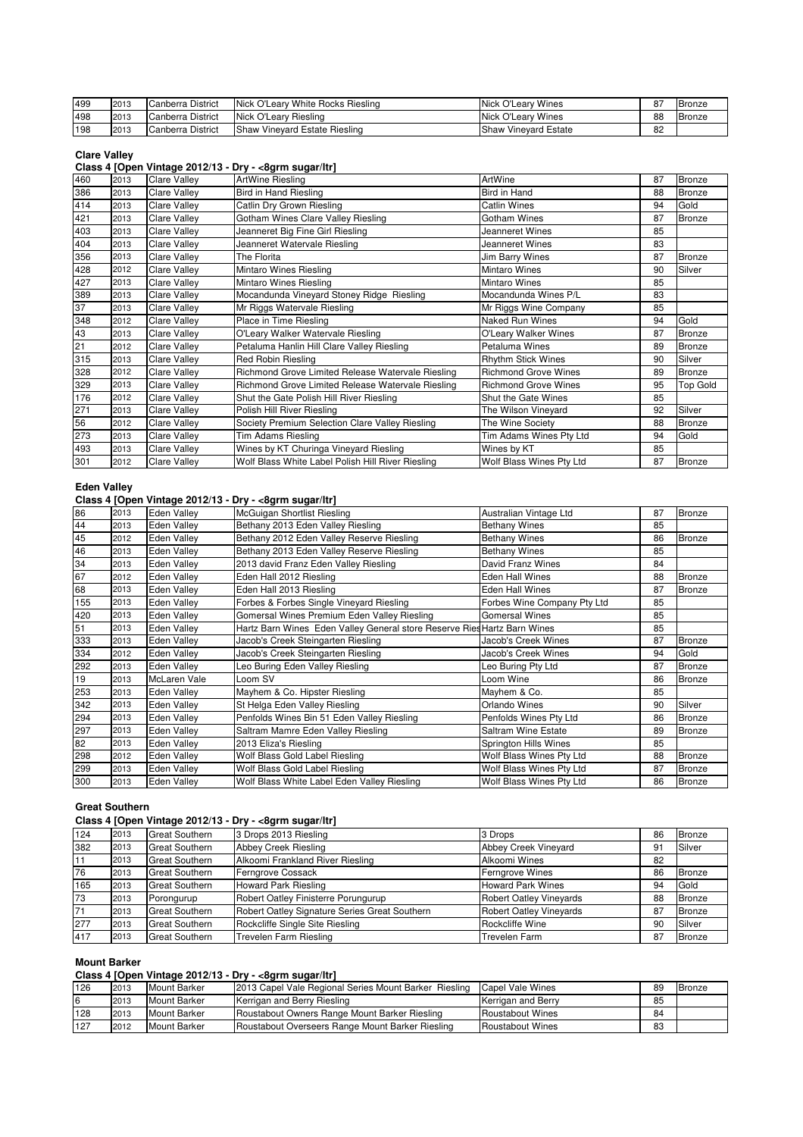| 499 | 2013 | Canberra District | Nick O'Leary White Rocks Riesling | Nick O'Leary Wines          | 0 <sub>7</sub> | <b>Bronze</b> |
|-----|------|-------------------|-----------------------------------|-----------------------------|----------------|---------------|
| 498 | 2013 | Canberra District | Nick O'Leary Riesling             | Nick O'Leary Wines          | 88             | Bronze        |
| 198 | 2013 | Canberra District | Shaw Vineyard Estate Riesling     | <b>Shaw Vineyard Estate</b> | 82             |               |

#### **Clare Valley**

#### **Class 4 [Open Vintage 2012/13 - Dry - <8grm sugar/ltr]**

| 460 | 2013 | <b>Clare Valley</b> | ArtWine Riesling                                  | ArtWine                     | 87 | <b>Bronze</b>   |
|-----|------|---------------------|---------------------------------------------------|-----------------------------|----|-----------------|
| 386 | 2013 | <b>Clare Valley</b> | <b>Bird in Hand Riesling</b>                      | Bird in Hand                | 88 | Bronze          |
| 414 | 2013 | <b>Clare Valley</b> | Catlin Dry Grown Riesling                         | <b>Catlin Wines</b>         | 94 | Gold            |
| 421 | 2013 | <b>Clare Valley</b> | Gotham Wines Clare Valley Riesling                | Gotham Wines                | 87 | Bronze          |
| 403 | 2013 | <b>Clare Valley</b> | Jeanneret Big Fine Girl Riesling                  | Jeanneret Wines             | 85 |                 |
| 404 | 2013 | <b>Clare Valley</b> | Jeanneret Watervale Riesling                      | Jeanneret Wines             | 83 |                 |
| 356 | 2013 | <b>Clare Valley</b> | The Florita                                       | Jim Barry Wines             | 87 | Bronze          |
| 428 | 2012 | <b>Clare Valley</b> | Mintaro Wines Riesling                            | Mintaro Wines               | 90 | Silver          |
| 427 | 2013 | <b>Clare Valley</b> | Mintaro Wines Riesling                            | <b>Mintaro Wines</b>        | 85 |                 |
| 389 | 2013 | <b>Clare Valley</b> | Mocandunda Vineyard Stoney Ridge Riesling         | Mocandunda Wines P/L        | 83 |                 |
| 37  | 2013 | <b>Clare Valley</b> | Mr Riggs Watervale Riesling                       | Mr Riggs Wine Company       | 85 |                 |
| 348 | 2012 | <b>Clare Valley</b> | Place in Time Riesling                            | <b>Naked Run Wines</b>      | 94 | Gold            |
| 43  | 2013 | <b>Clare Valley</b> | O'Leary Walker Watervale Riesling                 | O'Leary Walker Wines        | 87 | Bronze          |
| 21  | 2012 | <b>Clare Valley</b> | Petaluma Hanlin Hill Clare Valley Riesling        | Petaluma Wines              | 89 | Bronze          |
| 315 | 2013 | <b>Clare Valley</b> | Red Robin Riesling                                | <b>Rhythm Stick Wines</b>   | 90 | Silver          |
| 328 | 2012 | <b>Clare Valley</b> | Richmond Grove Limited Release Watervale Riesling | <b>Richmond Grove Wines</b> | 89 | <b>Bronze</b>   |
| 329 | 2013 | <b>Clare Valley</b> | Richmond Grove Limited Release Watervale Riesling | <b>Richmond Grove Wines</b> | 95 | <b>Top Gold</b> |
| 176 | 2012 | <b>Clare Valley</b> | Shut the Gate Polish Hill River Riesling          | Shut the Gate Wines         | 85 |                 |
| 271 | 2013 | <b>Clare Valley</b> | Polish Hill River Riesling                        | The Wilson Vineyard         | 92 | Silver          |
| 56  | 2012 | <b>Clare Valley</b> | Society Premium Selection Clare Valley Riesling   | The Wine Society            | 88 | Bronze          |
| 273 | 2013 | <b>Clare Valley</b> | Tim Adams Riesling                                | Tim Adams Wines Pty Ltd     | 94 | Gold            |
| 493 | 2013 | <b>Clare Valley</b> | Wines by KT Churinga Vineyard Riesling            | Wines by KT                 | 85 |                 |
| 301 | 2012 | <b>Clare Valley</b> | Wolf Blass White Label Polish Hill River Riesling | Wolf Blass Wines Pty Ltd    | 87 | <b>Bronze</b>   |
|     |      |                     |                                                   |                             |    |                 |

#### **Eden Valley**

#### **Class 4 [Open Vintage 2012/13 - Dry - <8grm sugar/ltr]**

| 86  | 2013 | Eden Vallev         | McGuigan Shortlist Riesling                                              | Australian Vintage Ltd      | 87 | <b>Bronze</b> |
|-----|------|---------------------|--------------------------------------------------------------------------|-----------------------------|----|---------------|
| 44  | 2013 | <b>Eden Valley</b>  | Bethany 2013 Eden Valley Riesling                                        | <b>Bethany Wines</b>        | 85 |               |
| 45  | 2012 | <b>Eden Valley</b>  | Bethany 2012 Eden Valley Reserve Riesling                                | <b>Bethany Wines</b>        | 86 | <b>Bronze</b> |
| 46  | 2013 | <b>Eden Vallev</b>  | Bethany 2013 Eden Valley Reserve Riesling                                | <b>Bethany Wines</b>        | 85 |               |
| 34  | 2013 | <b>Eden Valley</b>  | 2013 david Franz Eden Valley Riesling                                    | David Franz Wines           | 84 |               |
| 67  | 2012 | <b>Eden Valley</b>  | Eden Hall 2012 Riesling                                                  | Eden Hall Wines             | 88 | Bronze        |
| 68  | 2013 | <b>Eden Vallev</b>  | Eden Hall 2013 Riesling                                                  | <b>Eden Hall Wines</b>      | 87 | Bronze        |
| 155 | 2013 | <b>Eden Valley</b>  | Forbes & Forbes Single Vineyard Riesling                                 | Forbes Wine Company Pty Ltd | 85 |               |
| 420 | 2013 | <b>Eden Valley</b>  | Gomersal Wines Premium Eden Valley Riesling                              | <b>Gomersal Wines</b>       | 85 |               |
| 51  | 2013 | <b>Eden Valley</b>  | Hartz Barn Wines Eden Valley General store Reserve Ries Hartz Barn Wines |                             | 85 |               |
| 333 | 2013 | <b>Eden Vallev</b>  | Jacob's Creek Steingarten Riesling                                       | Jacob's Creek Wines         | 87 | Bronze        |
| 334 | 2012 | <b>Eden Valley</b>  | Jacob's Creek Steingarten Riesling                                       | Jacob's Creek Wines         | 94 | Gold          |
| 292 | 2013 | <b>Eden Valley</b>  | Leo Buring Eden Valley Riesling                                          | Leo Buring Pty Ltd          | 87 | <b>Bronze</b> |
| 19  | 2013 | <b>McLaren Vale</b> | Loom SV                                                                  | Loom Wine                   | 86 | <b>Bronze</b> |
| 253 | 2013 | <b>Eden Valley</b>  | Mayhem & Co. Hipster Riesling                                            | Mayhem & Co.                | 85 |               |
| 342 | 2013 | <b>Eden Valley</b>  | St Helga Eden Valley Riesling                                            | Orlando Wines               | 90 | Silver        |
| 294 | 2013 | <b>Eden Valley</b>  | Penfolds Wines Bin 51 Eden Valley Riesling                               | Penfolds Wines Pty Ltd      | 86 | Bronze        |
| 297 | 2013 | <b>Eden Valley</b>  | Saltram Mamre Eden Valley Riesling                                       | Saltram Wine Estate         | 89 | <b>Bronze</b> |
| 82  | 2013 | <b>Eden Valley</b>  | 2013 Eliza's Riesling                                                    | Springton Hills Wines       | 85 |               |
| 298 | 2012 | <b>Eden Valley</b>  | Wolf Blass Gold Label Riesling                                           | Wolf Blass Wines Pty Ltd    | 88 | <b>Bronze</b> |
| 299 | 2013 | <b>Eden Valley</b>  | Wolf Blass Gold Label Riesling                                           | Wolf Blass Wines Pty Ltd    | 87 | Bronze        |
| 300 | 2013 | <b>Eden Valley</b>  | Wolf Blass White Label Eden Valley Riesling                              | Wolf Blass Wines Pty Ltd    | 86 | <b>Bronze</b> |

#### **Great Southern**

# **Class 4 [Open Vintage 2012/13 - Dry - <8grm sugar/ltr]**

| 124 | 2013 | <b>Great Southern</b> | 3 Drops 2013 Riesling                         | 3 Drops                        | 86 | <b>Bronze</b> |
|-----|------|-----------------------|-----------------------------------------------|--------------------------------|----|---------------|
| 382 | 2013 | <b>Great Southern</b> | Abbey Creek Riesling                          | Abbey Creek Vineyard           | 91 | Silver        |
| 11  | 2013 | <b>Great Southern</b> | Alkoomi Frankland River Riesling              | Alkoomi Wines                  | 82 |               |
| 76  | 2013 | <b>Great Southern</b> | Ferngrove Cossack                             | <b>Ferngrove Wines</b>         | 86 | <b>Bronze</b> |
| 165 | 2013 | <b>Great Southern</b> | <b>Howard Park Riesling</b>                   | <b>Howard Park Wines</b>       | 94 | Gold          |
| 73  | 2013 | Porongurup            | Robert Oatley Finisterre Porungurup           | <b>Robert Oatley Vineyards</b> | 88 | <b>Bronze</b> |
| 71  | 2013 | <b>Great Southern</b> | Robert Oatley Signature Series Great Southern | <b>Robert Oatley Vineyards</b> | 87 | <b>Bronze</b> |
| 277 | 2013 | <b>Great Southern</b> | Rockcliffe Single Site Riesling               | Rockcliffe Wine                | 90 | Silver        |
| 417 | 2013 | <b>Great Southern</b> | Trevelen Farm Riesling                        | <b>Trevelen Farm</b>           | 87 | <b>Bronze</b> |

#### **Mount Barker**

## **Class 4 [Open Vintage 2012/13 - Dry - <8grm sugar/ltr]**

| 126 | 2013 | Mount Barker        | 2013 Capel Vale Regional Series Mount Barker Riesling | Capel Vale Wines        | 89 | Bronze |
|-----|------|---------------------|-------------------------------------------------------|-------------------------|----|--------|
| 16  | 2013 | <b>Mount Barker</b> | Kerrigan and Berry Riesling                           | Kerrigan and Berry      | 85 |        |
| 128 | 2013 | Mount Barker        | Roustabout Owners Range Mount Barker Riesling         | Roustabout Wines        | 84 |        |
| 127 | 2012 | <b>Mount Barker</b> | Roustabout Overseers Range Mount Barker Riesling      | <b>Roustabout Wines</b> | 83 |        |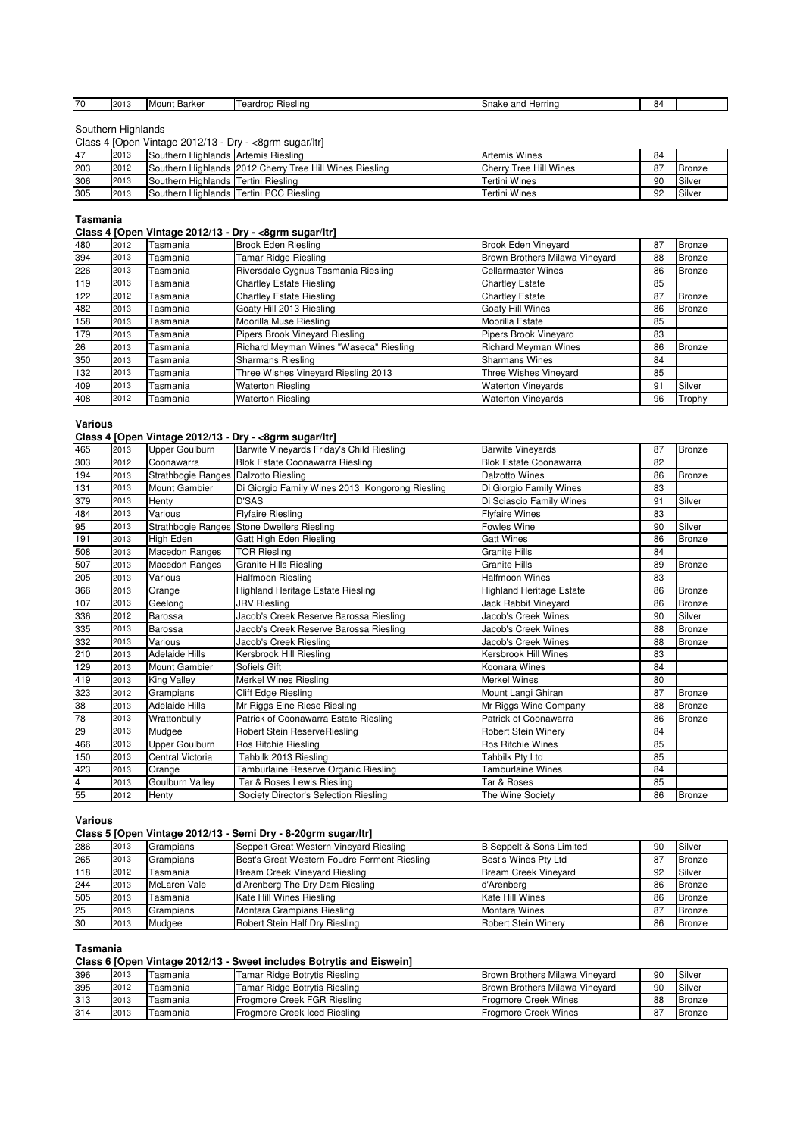| ᢇ | 1001<br>$\angle$ | . .<br>unt Barker<br><b>IMOL</b> | Hieslina<br>eardron | Herrina<br>inake<br>ano | ×Δ |  |
|---|------------------|----------------------------------|---------------------|-------------------------|----|--|
|   |                  |                                  |                     |                         |    |  |

#### Southern Highlands

Class 4 [Open Vintage 2012/13 - Dry - <8grm sugar/ltr]

| 47  | 2013 | Southern Highlands Artemis Riesling |                                                         | <b>Artemis Wines</b>   | 84 |        |
|-----|------|-------------------------------------|---------------------------------------------------------|------------------------|----|--------|
| 203 | 2012 |                                     | Southern Highlands 2012 Cherry Tree Hill Wines Riesling | Cherry Tree Hill Wines | 87 | Bronze |
| 306 | 2013 | Southern Highlands Tertini Riesling |                                                         | Tertini Wines          | 90 | Silver |
| 305 | 2013 |                                     | Southern Highlands Tertini PCC Riesling                 | Tertini Wines          | 92 | Silver |

#### **Tasmania**

**Class 4 [Open Vintage 2012/13 - Dry - <8grm sugar/ltr]**

| 480 | 2012 | Tasmania | <b>Brook Eden Riesling</b>             | <b>Brook Eden Vineyard</b>     | 87 | <b>Bronze</b> |
|-----|------|----------|----------------------------------------|--------------------------------|----|---------------|
| 394 | 2013 | Tasmania | Tamar Ridge Riesling                   | Brown Brothers Milawa Vineyard | 88 | <b>Bronze</b> |
| 226 | 2013 | Tasmania | Riversdale Cygnus Tasmania Riesling    | <b>Cellarmaster Wines</b>      | 86 | <b>Bronze</b> |
| 119 | 2013 | Tasmania | <b>Chartley Estate Riesling</b>        | <b>Chartley Estate</b>         | 85 |               |
| 122 | 2012 | Tasmania | <b>Chartley Estate Riesling</b>        | <b>Chartley Estate</b>         | 87 | <b>Bronze</b> |
| 482 | 2013 | Tasmania | Goaty Hill 2013 Riesling               | Goaty Hill Wines               | 86 | <b>Bronze</b> |
| 158 | 2013 | Tasmania | Moorilla Muse Riesling                 | Moorilla Estate                | 85 |               |
| 179 | 2013 | Tasmania | Pipers Brook Vineyard Riesling         | Pipers Brook Vineyard          | 83 |               |
| 26  | 2013 | Tasmania | Richard Meyman Wines "Waseca" Riesling | <b>Richard Meyman Wines</b>    | 86 | <b>Bronze</b> |
| 350 | 2013 | Tasmania | <b>Sharmans Riesling</b>               | <b>Sharmans Wines</b>          | 84 |               |
| 132 | 2013 | Tasmania | Three Wishes Vineyard Riesling 2013    | Three Wishes Vineyard          | 85 |               |
| 409 | 2013 | Tasmania | <b>Waterton Riesling</b>               | <b>Waterton Vinevards</b>      | 91 | Silver        |
| 408 | 2012 | Tasmania | <b>Waterton Riesling</b>               | <b>Waterton Vinevards</b>      | 96 | Trophy        |

**Various**

#### **Class 4 [Open Vintage 2012/13 - Dry - <8grm sugar/ltr]**

|                         |      |                                      | $\frac{1}{2}$                                   |                                 |    |               |
|-------------------------|------|--------------------------------------|-------------------------------------------------|---------------------------------|----|---------------|
| 465                     | 2013 | Upper Goulburn                       | Barwite Vineyards Friday's Child Riesling       | <b>Barwite Vineyards</b>        | 87 | <b>Bronze</b> |
| 303                     | 2012 | Coonawarra                           | <b>Blok Estate Coonawarra Riesling</b>          | <b>Blok Estate Coonawarra</b>   | 82 |               |
| 194                     | 2013 | Strathbogie Ranges Dalzotto Riesling |                                                 | <b>Dalzotto Wines</b>           | 86 | Bronze        |
| 131                     | 2013 | <b>Mount Gambier</b>                 | Di Giorgio Family Wines 2013 Kongorong Riesling | Di Giorgio Family Wines         | 83 |               |
| 379                     | 2013 | Henty                                | <b>D'SAS</b>                                    | Di Sciascio Family Wines        | 91 | Silver        |
| 484                     | 2013 | Various                              | <b>Flyfaire Riesling</b>                        | <b>Flyfaire Wines</b>           | 83 |               |
| 95                      | 2013 |                                      | Strathbogie Ranges Stone Dwellers Riesling      | <b>Fowles Wine</b>              | 90 | Silver        |
| 191                     | 2013 | High Eden                            | Gatt High Eden Riesling                         | <b>Gatt Wines</b>               | 86 | Bronze        |
| 508                     | 2013 | Macedon Ranges                       | <b>TOR Riesling</b>                             | <b>Granite Hills</b>            | 84 |               |
| 507                     | 2013 | <b>Macedon Ranges</b>                | <b>Granite Hills Riesling</b>                   | <b>Granite Hills</b>            | 89 | Bronze        |
| 205                     | 2013 | Various                              | Halfmoon Riesling                               | <b>Halfmoon Wines</b>           | 83 |               |
| 366                     | 2013 | Orange                               | <b>Highland Heritage Estate Riesling</b>        | <b>Highland Heritage Estate</b> | 86 | Bronze        |
| 107                     | 2013 | Geelong                              | <b>JRV Riesling</b>                             | Jack Rabbit Vineyard            | 86 | Bronze        |
| 336                     | 2012 | Barossa                              | Jacob's Creek Reserve Barossa Riesling          | Jacob's Creek Wines             | 90 | Silver        |
| 335                     | 2013 | Barossa                              | Jacob's Creek Reserve Barossa Riesling          | Jacob's Creek Wines             | 88 | <b>Bronze</b> |
| 332                     | 2013 | Various                              | Jacob's Creek Riesling                          | Jacob's Creek Wines             | 88 | <b>Bronze</b> |
| 210                     | 2013 | <b>Adelaide Hills</b>                | Kersbrook Hill Riesling                         | Kersbrook Hill Wines            | 83 |               |
| 129                     | 2013 | Mount Gambier                        | Sofiels Gift                                    | Koonara Wines                   | 84 |               |
| 419                     | 2013 | King Valley                          | <b>Merkel Wines Riesling</b>                    | <b>Merkel Wines</b>             | 80 |               |
| 323                     | 2012 | Grampians                            | Cliff Edge Riesling                             | Mount Langi Ghiran              | 87 | Bronze        |
| 38                      | 2013 | <b>Adelaide Hills</b>                | Mr Riggs Eine Riese Riesling                    | Mr Riggs Wine Company           | 88 | <b>Bronze</b> |
| 78                      | 2013 | Wrattonbully                         | Patrick of Coonawarra Estate Riesling           | Patrick of Coonawarra           | 86 | Bronze        |
| 29                      | 2013 | Mudgee                               | Robert Stein ReserveRiesling                    | Robert Stein Winery             | 84 |               |
| 466                     | 2013 | Upper Goulburn                       | Ros Ritchie Riesling                            | <b>Ros Ritchie Wines</b>        | 85 |               |
| 150                     | 2013 | Central Victoria                     | Tahbilk 2013 Riesling                           | Tahbilk Pty Ltd                 | 85 |               |
| 423                     | 2013 | Orange                               | Tamburlaine Reserve Organic Riesling            | <b>Tamburlaine Wines</b>        | 84 |               |
| $\overline{\mathbf{4}}$ | 2013 | Goulburn Valley                      | Tar & Roses Lewis Riesling                      | Tar & Roses                     | 85 |               |
| 55                      | 2012 | Henty                                | Society Director's Selection Riesling           | The Wine Society                | 86 | Bronze        |
|                         |      |                                      |                                                 |                                 |    |               |

# **Various**

## **Class 5 [Open Vintage 2012/13 - Semi Dry - 8-20grm sugar/ltr]**

| 286 | 2013 | Grampians    | Seppelt Great Western Vineyard Riesling      | B Seppelt & Sons Limited   | 90 | Silver        |
|-----|------|--------------|----------------------------------------------|----------------------------|----|---------------|
| 265 | 2013 | Grampians    | Best's Great Western Foudre Ferment Riesling | Best's Wines Pty Ltd       | 87 | <b>Bronze</b> |
| 118 | 2012 | Tasmania     | Bream Creek Vineyard Riesling                | Bream Creek Vinevard       | 92 | Silver        |
| 244 | 2013 | McLaren Vale | d'Arenberg The Dry Dam Riesling              | d'Arenberg                 | 86 | <b>Bronze</b> |
| 505 | 2013 | Tasmania     | Kate Hill Wines Riesling                     | Kate Hill Wines            | 86 | <b>Bronze</b> |
| 25  | 2013 | Grampians    | Montara Grampians Riesling                   | <b>Montara Wines</b>       | 87 | <b>Bronze</b> |
| 30  | 2013 | Mudgee       | Robert Stein Half Dry Riesling               | <b>Robert Stein Winery</b> | 86 | <b>Bronze</b> |

#### **Tasmania**

#### **Class 6 [Open Vintage 2012/13 - Sweet includes Botrytis and Eiswein]**

| 396 | 2013 | Tasmania | Tamar Ridge Botrytis Riesling | <b>Brown Brothers Milawa Vinevard</b> | 90           | Silver        |
|-----|------|----------|-------------------------------|---------------------------------------|--------------|---------------|
| 395 | 2012 | Tasmania | Tamar Ridge Botrytis Riesling | <b>Brown Brothers Milawa Vinevard</b> | 90           | Silver        |
| 313 | 2013 | Tasmania | Frogmore Creek FGR Riesling   | <b>Frogmore Creek Wines</b>           | 88           | Bronze        |
| 314 | 2013 | Tasmania | Frogmore Creek Iced Riesling  | Froamore Creek Wines                  | $\circ$<br>Ö | <b>Bronze</b> |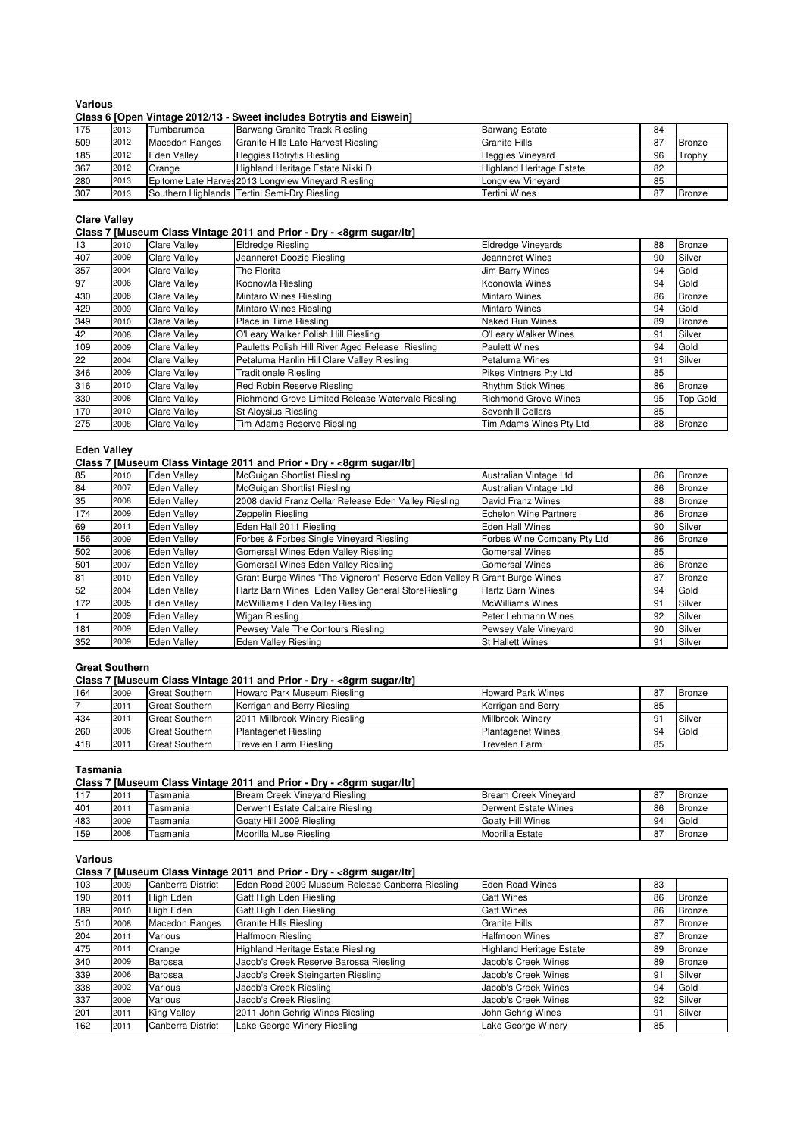## **Various**

## **Class 6 [Open Vintage 2012/13 - Sweet includes Botrytis and Eiswein]**

| 175 | 2013 | Tumbarumba            | Barwang Granite Track Riesling                      | <b>Barwang Estate</b>           | 84 |               |
|-----|------|-----------------------|-----------------------------------------------------|---------------------------------|----|---------------|
| 509 | 2012 | <b>Macedon Ranges</b> | Granite Hills Late Harvest Riesling                 | <b>Granite Hills</b>            | 87 | Bronze        |
| 185 | 2012 | Eden Vallev           | Heggies Botrytis Riesling                           | <b>Heggies Vineyard</b>         | 96 | Trophy        |
| 367 | 2012 | Orange                | Highland Heritage Estate Nikki D                    | <b>Highland Heritage Estate</b> | 82 |               |
| 280 | 2013 |                       | Epitome Late Harves 2013 Longview Vineyard Riesling | Longview Vineyard               | 85 |               |
| 307 | 2013 |                       | Southern Highlands Tertini Semi-Dry Riesling        | Tertini Wines                   | 87 | <b>Bronze</b> |

#### **Clare Valley**

#### **Class 7 [Museum Class Vintage 2011 and Prior - Dry - <8grm sugar/ltr]**

| 13  | 2010 | <b>Clare Valley</b> | <b>Eldredge Riesling</b>                          | <b>Eldredge Vineyards</b>   | 88 | <b>Bronze</b>   |
|-----|------|---------------------|---------------------------------------------------|-----------------------------|----|-----------------|
| 407 | 2009 | <b>Clare Vallev</b> | Jeanneret Doozie Riesling                         | Jeanneret Wines             | 90 | Silver          |
| 357 | 2004 | Clare Valley        | The Florita                                       | <b>Jim Barry Wines</b>      | 94 | Gold            |
| 97  | 2006 | <b>Clare Valley</b> | Koonowla Riesling                                 | Koonowla Wines              | 94 | Gold            |
| 430 | 2008 | <b>Clare Valley</b> | Mintaro Wines Riesling                            | <b>Mintaro Wines</b>        | 86 | <b>Bronze</b>   |
| 429 | 2009 | <b>Clare Valley</b> | Mintaro Wines Riesling                            | <b>Mintaro Wines</b>        | 94 | Gold            |
| 349 | 2010 | <b>Clare Valley</b> | Place in Time Riesling                            | Naked Run Wines             | 89 | <b>Bronze</b>   |
| 42  | 2008 | Clare Valley        | O'Leary Walker Polish Hill Riesling               | O'Leary Walker Wines        | 91 | Silver          |
| 109 | 2009 | <b>Clare Valley</b> | Pauletts Polish Hill River Aged Release Riesling  | <b>Paulett Wines</b>        | 94 | Gold            |
| 22  | 2004 | <b>Clare Valley</b> | Petaluma Hanlin Hill Clare Valley Riesling        | Petaluma Wines              | 91 | Silver          |
| 346 | 2009 | <b>Clare Valley</b> | <b>Traditionale Riesling</b>                      | Pikes Vintners Pty Ltd      | 85 |                 |
| 316 | 2010 | <b>Clare Valley</b> | Red Robin Reserve Riesling                        | <b>Rhythm Stick Wines</b>   | 86 | <b>Bronze</b>   |
| 330 | 2008 | <b>Clare Valley</b> | Richmond Grove Limited Release Watervale Riesling | <b>Richmond Grove Wines</b> | 95 | <b>Top Gold</b> |
| 170 | 2010 | <b>Clare Valley</b> | St Aloysius Riesling                              | Sevenhill Cellars           | 85 |                 |
| 275 | 2008 | <b>Clare Valley</b> | Tim Adams Reserve Riesling                        | Tim Adams Wines Pty Ltd     | 88 | <b>Bronze</b>   |

#### **Eden Valley**

#### **Class 7 [Museum Class Vintage 2011 and Prior - Dry - <8grm sugar/ltr]**

| 85  | 2010 | <b>Eden Valley</b> | McGuigan Shortlist Riesling                                              | Australian Vintage Ltd       | 86 | Bronze        |
|-----|------|--------------------|--------------------------------------------------------------------------|------------------------------|----|---------------|
| 84  | 2007 | <b>Eden Vallev</b> | McGuigan Shortlist Riesling                                              | Australian Vintage Ltd       | 86 | <b>Bronze</b> |
| 35  | 2008 | <b>Eden Valley</b> | 2008 david Franz Cellar Release Eden Valley Riesling                     | David Franz Wines            | 88 | Bronze        |
| 174 | 2009 | <b>Eden Valley</b> | Zeppelin Riesling                                                        | <b>Echelon Wine Partners</b> | 86 | Bronze        |
| 69  | 2011 | <b>Eden Vallev</b> | Eden Hall 2011 Riesling                                                  | <b>Eden Hall Wines</b>       | 90 | Silver        |
| 156 | 2009 | Eden Vallev        | Forbes & Forbes Single Vineyard Riesling                                 | Forbes Wine Company Pty Ltd  | 86 | <b>Bronze</b> |
| 502 | 2008 | Eden Vallev        | Gomersal Wines Eden Valley Riesling                                      | <b>Gomersal Wines</b>        | 85 |               |
| 501 | 2007 | <b>Eden Vallev</b> | Gomersal Wines Eden Valley Riesling                                      | <b>Gomersal Wines</b>        | 86 | <b>Bronze</b> |
| 81  | 2010 | <b>Eden Vallev</b> | Grant Burge Wines "The Vigneron" Reserve Eden Valley R Grant Burge Wines |                              | 87 | Bronze        |
| 52  | 2004 | Eden Valley        | Hartz Barn Wines Eden Valley General StoreRiesling                       | Hartz Barn Wines             | 94 | Gold          |
| 172 | 2005 | <b>Eden Valley</b> | McWilliams Eden Valley Riesling                                          | McWilliams Wines             | 91 | Silver        |
|     | 2009 | Eden Vallev        | Wigan Riesling                                                           | Peter Lehmann Wines          | 92 | Silver        |
| 181 | 2009 | Eden Vallev        | Pewsey Vale The Contours Riesling                                        | Pewsey Vale Vineyard         | 90 | Silver        |
| 352 | 2009 | <b>Eden Valley</b> | Eden Valley Riesling                                                     | <b>St Hallett Wines</b>      | 91 | Silver        |

#### **Great Southern**

## **Class 7 [Museum Class Vintage 2011 and Prior - Dry - <8grm sugar/ltr]**

| 164 | 2009    | <b>Great Southern</b> | Howard Park Museum Riesling    | <b>Howard Park Wines</b> | 87 | <b>Bronze</b> |
|-----|---------|-----------------------|--------------------------------|--------------------------|----|---------------|
|     | $201 -$ | <b>Great Southern</b> | Kerrigan and Berry Riesling    | Kerrigan and Berry       | 85 |               |
| 434 | 2011    | <b>Great Southern</b> | 2011 Millbrook Winery Riesling | Millbrook Winerv         | 9. | Silver        |
| 260 | 2008    | <b>Great Southern</b> | <b>Plantagenet Riesling</b>    | <b>Plantagenet Wines</b> | 94 | Gold          |
| 418 | 2011    | <b>Great Southern</b> | Trevelen Farm Riesling         | Trevelen Farm            | 85 |               |

#### **Tasmania**

## **Class 7 [Museum Class Vintage 2011 and Prior - Dry - <8grm sugar/ltr]**

| 117 | 201  | Tasmania | Bream Creek Vinevard Riesling    | <b>Bream Creek Vinevard</b> | $\circ$<br>Ö   | <b>Bronze</b> |
|-----|------|----------|----------------------------------|-----------------------------|----------------|---------------|
| 401 | 201. | Tasmania | Derwent Estate Calcaire Riesling | Derwent Estate Wines        | 86             | <b>Bronze</b> |
| 483 | 2009 | Tasmania | Goaty Hill 2009 Riesling         | <b>Goaty Hill Wines</b>     | 94             | Gold          |
| 159 | 2008 | Tasmania | Moorilla Muse Riesling           | Moorilla Estate             | $\circ$ -<br>Ö | <b>Bronze</b> |

#### **Various**

#### **Class 7 [Museum Class Vintage 2011 and Prior - Dry - <8grm sugar/ltr]**

| 103 | 2009 | Canberra District     | Eden Road 2009 Museum Release Canberra Riesling | <b>Eden Road Wines</b>          | 83 |               |
|-----|------|-----------------------|-------------------------------------------------|---------------------------------|----|---------------|
| 190 | 2011 | High Eden             | Gatt High Eden Riesling                         | <b>Gatt Wines</b>               | 86 | <b>Bronze</b> |
| 189 | 2010 | High Eden             | Gatt High Eden Riesling                         | <b>Gatt Wines</b>               | 86 | <b>Bronze</b> |
| 510 | 2008 | <b>Macedon Ranges</b> | <b>Granite Hills Riesling</b>                   | Granite Hills                   | 87 | Bronze        |
| 204 | 2011 | Various               | <b>Halfmoon Riesling</b>                        | <b>Halfmoon Wines</b>           | 87 | Bronze        |
| 475 | 2011 | Orange                | <b>Highland Heritage Estate Riesling</b>        | <b>Highland Heritage Estate</b> | 89 | Bronze        |
| 340 | 2009 | Barossa               | Jacob's Creek Reserve Barossa Riesling          | Jacob's Creek Wines             | 89 | <b>Bronze</b> |
| 339 | 2006 | Barossa               | Jacob's Creek Steingarten Riesling              | Jacob's Creek Wines             | 91 | Silver        |
| 338 | 2002 | Various               | Jacob's Creek Riesling                          | Jacob's Creek Wines             | 94 | Gold          |
| 337 | 2009 | Various               | Jacob's Creek Riesling                          | Jacob's Creek Wines             | 92 | Silver        |
| 201 | 2011 | King Valley           | 2011 John Gehrig Wines Riesling                 | John Gehrig Wines               | 91 | Silver        |
| 162 | 2011 | Canberra District     | Lake George Winery Riesling                     | Lake George Winery              | 85 |               |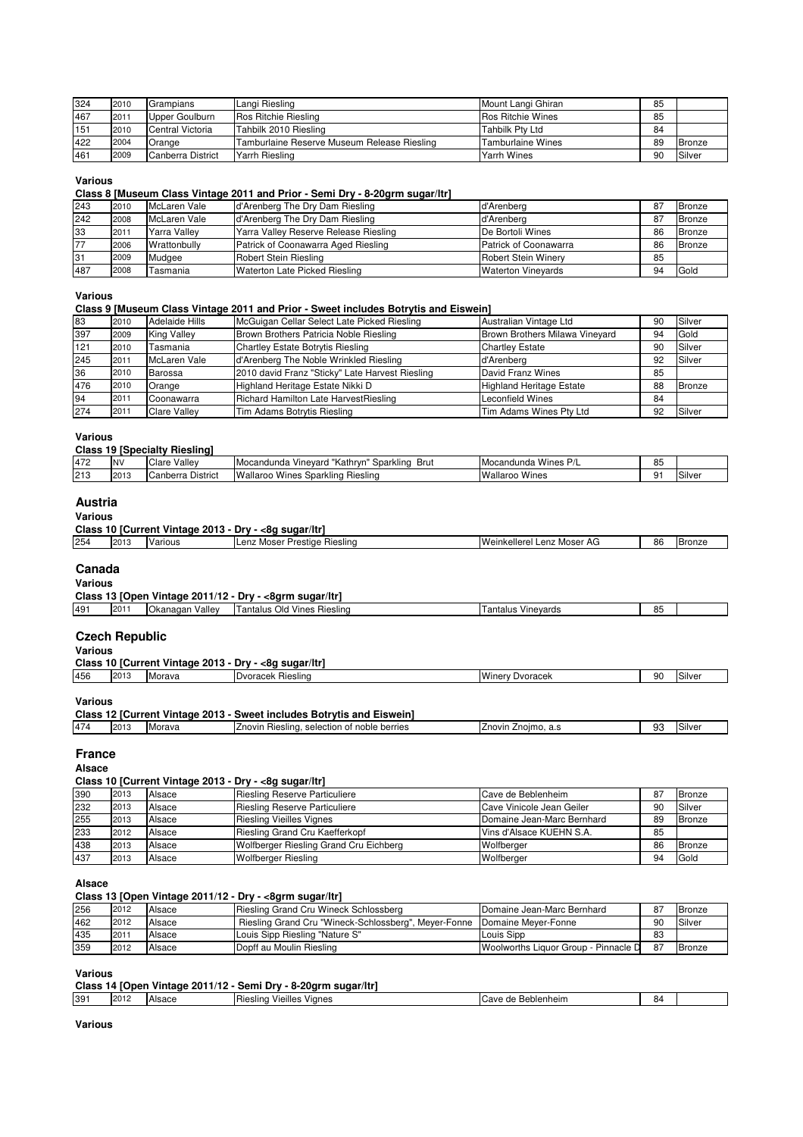| 324 | 2010 | Grampians         | Langi Riesling                              | Mount Langi Ghiran       | 85 |               |
|-----|------|-------------------|---------------------------------------------|--------------------------|----|---------------|
| 467 | 2011 | Upper Goulburn    | Ros Ritchie Riesling                        | <b>Ros Ritchie Wines</b> | 85 |               |
| 151 | 2010 | Central Victoria  | Tahbilk 2010 Riesling                       | <b>Tahbilk Pty Ltd</b>   | 84 |               |
| 422 | 2004 | Orange            | Tamburlaine Reserve Museum Release Riesling | Tamburlaine Wines        | 89 | <b>Bronze</b> |
| 461 | 2009 | Canberra District | Yarrh Riesling                              | Yarrh Wines              | 90 | Silver        |

#### **Various**

#### **Class 8 [Museum Class Vintage 2011 and Prior - Semi Dry - 8-20grm sugar/ltr]**

| 243 | 2010 | McLaren Vale | d'Arenberg The Dry Dam Riesling       | d'Arenberg                 | 87 | Bronze        |
|-----|------|--------------|---------------------------------------|----------------------------|----|---------------|
| 242 | 2008 | McLaren Vale | d'Arenberg The Dry Dam Riesling       | d'Arenbera                 | 87 | <b>Bronze</b> |
| 33  | 2011 | Yarra Vallev | Yarra Valley Reserve Release Riesling | De Bortoli Wines           | 86 | <b>Bronze</b> |
|     | 2006 | Wrattonbully | Patrick of Coonawarra Aged Riesling   | Patrick of Coonawarra      | 86 | <b>Bronze</b> |
| 31  | 2009 | Mudgee       | Robert Stein Riesling                 | <b>Robert Stein Winery</b> | 85 |               |
| 487 | 2008 | Tasmania     | Waterton Late Picked Riesling         | <b>Waterton Vinevards</b>  | 94 | Gold          |

#### **Various**

## **Class 9 [Museum Class Vintage 2011 and Prior - Sweet includes Botrytis and Eiswein]**

| 83  | 2010 | Adelaide Hills      | McGuigan Cellar Select Late Picked Riesling     | Australian Vintage Ltd          | 90 | Silver |
|-----|------|---------------------|-------------------------------------------------|---------------------------------|----|--------|
| 397 | 2009 | King Valley         | Brown Brothers Patricia Noble Riesling          | Brown Brothers Milawa Vineyard  | 94 | Gold   |
| 121 | 2010 | Tasmania            | Chartley Estate Botrytis Riesling               | <b>Chartley Estate</b>          | 90 | Silver |
| 245 | 2011 | McLaren Vale        | d'Arenberg The Noble Wrinkled Riesling          | d'Arenbera                      | 92 | Silver |
| 36  | 2010 | Barossa             | 2010 david Franz "Sticky" Late Harvest Riesling | David Franz Wines               | 85 |        |
| 476 | 2010 | Orange              | Highland Heritage Estate Nikki D                | <b>Highland Heritage Estate</b> | 88 | Bronze |
| 94  | 2011 | Coonawarra          | Richard Hamilton Late HarvestRiesling           | <b>Leconfield Wines</b>         | 84 |        |
| 274 | 2011 | <b>Clare Valley</b> | Tim Adams Botrytis Riesling                     | Tim Adams Wines Pty Ltd         | 92 | Silver |

#### **Various**

| <b>Class 19 [Specialty Riesling]</b> |  |  |  |  |
|--------------------------------------|--|--|--|--|
|--------------------------------------|--|--|--|--|

| 472 | N\   | Clare<br>Valley             | ` "Kathrvn<br>$\cdots$<br>Brut<br>Sparkling<br>I Mocandunda<br>. Vinevard | I Mocandunda<br>Wines | OF<br>ບປ |       |
|-----|------|-----------------------------|---------------------------------------------------------------------------|-----------------------|----------|-------|
| 213 | 2013 | District<br>:anberra<br>الص | Wallaroo<br>Riesling<br>Sparkling<br>Wines                                | Wallaroo<br>Wines     | 9        | Silve |

## **Austria**

#### **Various**

| Class<br>* Vintage 2013 -<br>10<br>√-8α suɑar/ltr<br>Drv -<br>. lCurrent |       |                |                                            |                                 |    |               |  |
|--------------------------------------------------------------------------|-------|----------------|--------------------------------------------|---------------------------------|----|---------------|--|
| 254                                                                      | ت ا ڪ | . .<br>Various | Anz<br>Riesling<br>Prestige<br>rLenz Moser | Weinkellerel<br>I Lenz Moser AG | 86 | <b>Bronze</b> |  |

# **Canada**

| <b>Various</b> |                                                         |                 |                             |                    |    |  |  |  |  |
|----------------|---------------------------------------------------------|-----------------|-----------------------------|--------------------|----|--|--|--|--|
|                | Class 13 [Open Vintage 2011/12 - Dry - <8grm sugar/ltr] |                 |                             |                    |    |  |  |  |  |
| 491            | 201                                                     | Okanagan Valley | Tantalus Old Vines Riesling | Tantalus Vinevards | 85 |  |  |  |  |
|                |                                                         |                 |                             |                    |    |  |  |  |  |

#### **Czech Republic**

| Various |                                                       |        |                   |                        |    |        |  |  |
|---------|-------------------------------------------------------|--------|-------------------|------------------------|----|--------|--|--|
|         | Class 10 [Current Vintage 2013 - Dry - <8g sugar/ltr] |        |                   |                        |    |        |  |  |
| 456     | 2013                                                  | Morava | Dvoracek Riesling | <b>Winery Dyoracek</b> | 90 | Silver |  |  |

#### **Various**

| Class 12 [Current Vintage 2013 - Sweet includes Botrytis and Eiswein] |      |        |                                             |                     |    |        |  |  |
|-----------------------------------------------------------------------|------|--------|---------------------------------------------|---------------------|----|--------|--|--|
| 474                                                                   | 2013 | Morava | Znovin Riesling, selection of noble berries | Znovin Znoimo, a.s. | 93 | Silver |  |  |
|                                                                       |      |        |                                             |                     |    |        |  |  |

#### **France**

**Alsace**

**Class 10 [Current Vintage 2013 - Dry - <8g sugar/ltr]**

| 390 | 2013 | Alsace | Riesling Reserve Particuliere          | Cave de Beblenheim         | 87 | <b>Bronze</b> |
|-----|------|--------|----------------------------------------|----------------------------|----|---------------|
| 232 | 2013 | Alsace | <b>Riesling Reserve Particuliere</b>   | Cave Vinicole Jean Geiler  | 90 | Silver        |
| 255 | 2013 | Alsace | <b>Riesling Vieilles Vignes</b>        | Domaine Jean-Marc Bernhard | 89 | <b>Bronze</b> |
| 233 | 2012 | Alsace | Riesling Grand Cru Kaefferkopf         | l Vins d'Alsace KUEHN S.A. | 85 |               |
| 438 | 2013 | Alsace | Wolfberger Riesling Grand Cru Eichberg | Wolfberger                 | 86 | <b>Bronze</b> |
| 437 | 2013 | Alsace | <b>Wolfberger Riesling</b>             | Wolfberger                 | 94 | Gold          |

#### **Alsace**

#### **Class 13 [Open Vintage 2011/12 - Dry - <8grm sugar/ltr]**

| 256 | 2012    | Alsace | Riesling Grand Cru Wineck Schlossberg                                      | Domaine Jean-Marc Bernhard           | 87  | Bronze |
|-----|---------|--------|----------------------------------------------------------------------------|--------------------------------------|-----|--------|
| 462 | 2012    | Alsace | Riesling Grand Cru "Wineck-Schlossberg", Meyer-Fonne   Domaine Meyer-Fonne |                                      | 90  | Silver |
| 435 | $201 -$ | Alsace | Louis Sipp Riesling "Nature S"                                             | Louis Sipp                           | 83  |        |
| 359 | 2012    | Alsace | IDopff au Moulin Riesling                                                  | Woolworths Liquor Group - Pinnacle D | -87 | Bronze |

#### **Various**

| Class 14 [Open Vintage 2011/12 - Semi Dry - 8-20grm sugar/ltr] |  |
|----------------------------------------------------------------|--|
|----------------------------------------------------------------|--|

| 391 | $20^{\circ}$<br>. . | Alence<br>- ماه ه | <br><b>ileslind</b> | $\cdots$<br>'ieilles | Vignes |  | Beblenheim<br>ave.<br>~<br>$-11$ | 84 |  |
|-----|---------------------|-------------------|---------------------|----------------------|--------|--|----------------------------------|----|--|
|     |                     |                   |                     |                      |        |  |                                  |    |  |

#### **Various**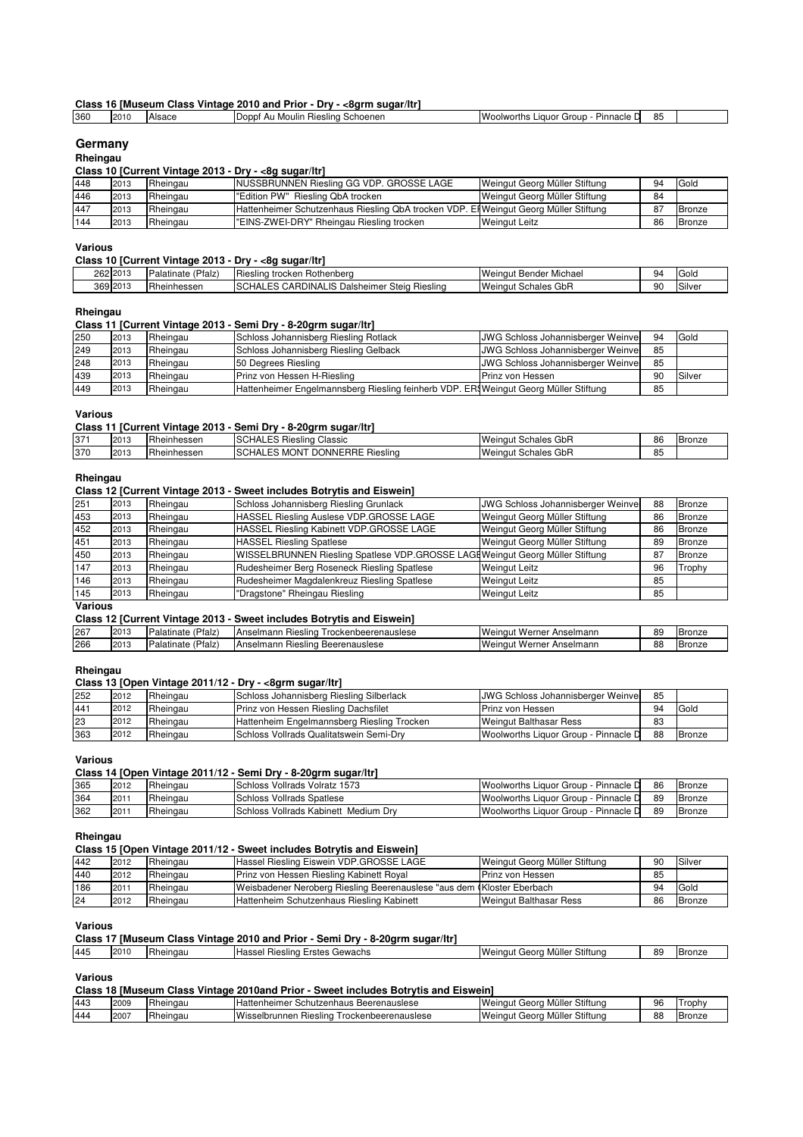# **Class 16 [Museum Class Vintage 2010 and Prior - Dry - <8grm sugar/ltr]**<br>
360 2010 Alsace Doppf Au Moulin Riesling Schoenen **260** 25 Nooppf Au Moulin Riesling Schoenen Woolworths Liquor Group - Pinnacle Drinks

# **Germany**

#### **Rheingau**

#### **Class 10 [Current Vintage 2013 - Dry - <8g sugar/ltr]**

| 448 | 2013 | Rheingau | INUSSBRUNNEN Riesling GG VDP. GROSSE LAGE                                            | Weingut Georg Müller Stiftung | 94 | Gold          |
|-----|------|----------|--------------------------------------------------------------------------------------|-------------------------------|----|---------------|
|     |      |          |                                                                                      |                               |    |               |
| 446 | 2013 | Rheingau | l"Edition PW" Riesling QbA trocken                                                   | Weingut Georg Müller Stiftung | 84 |               |
| 447 | 2013 | Rheingau | Hattenheimer Schutzenhaus Riesling QbA trocken VDP. El Weingut Georg Müller Stiftung |                               | 87 | <b>Bronze</b> |
| 144 | 2013 | Rheingau | "EINS-ZWEI-DRY" Rheingau Riesling trocken                                            | <b>Weingut Leitz</b>          | 86 | <b>Bronze</b> |

#### **Various**

#### **Class 10 [Current Vintage 2013 - Dry - <8g sugar/ltr]**

| 262 2013 | 'Pfalz.<br>. .<br><b>Palati</b><br>nate | --<br>Rothenberg<br>trocken<br>Riesling                                         | $\sim$<br>Bender<br>Michael<br>Weinaut                        | 94 | $\sim$<br>Gold |
|----------|-----------------------------------------|---------------------------------------------------------------------------------|---------------------------------------------------------------|----|----------------|
| 369 2013 | Rheinhessen                             | $\cdots$<br>ıс<br>Dalsheimer<br>Steia<br>Rieslina<br>CARDII<br>INA<br>-10<br>יש | $\bigcap_{n\in\mathbb{N}}$<br>Schales<br><b>Weinaut</b><br>uu | 90 | Silve          |

# **Rheingau**

#### **Class 11 [Current Vintage 2013 - Semi Dry - 8-20grm sugar/ltr]**

| 250 | 2013 | Rheingau | Schloss Johannisberg Riesling Rotlack                                               | JWG Schloss Johannisberger Weinver        | 94 | Gold   |
|-----|------|----------|-------------------------------------------------------------------------------------|-------------------------------------------|----|--------|
| 249 | 2013 | Rheingau | Schloss Johannisberg Riesling Gelback                                               | <b>JWG Schloss Johannisberger Weinver</b> | 85 |        |
| 248 | 2013 | Rheingau | 50 Degrees Riesling                                                                 | JWG Schloss Johannisberger Weinver        | 85 |        |
| 439 | 2013 | Rheingau | Prinz von Hessen H-Riesling                                                         | Prinz von Hessen                          | 90 | Silver |
| 449 | 2013 | Rheingau | Hattenheimer Engelmannsberg Riesling feinherb VDP. ER Weingut Georg Müller Stiftung |                                           | 85 |        |

#### **Various**

#### **Class 11 [Current Vintage 2013 - Semi Dry - 8-20grm sugar/ltr]**

| 371 | 2013            | heinhessen        | $\overline{\phantom{a}}$<br>Classic<br>SCHAL.<br>$ \sim$<br>Riesling<br>-- | GbR<br>Weingu <sub>r</sub><br>Schales<br>ou. | 86 | Bronze |
|-----|-----------------|-------------------|----------------------------------------------------------------------------|----------------------------------------------|----|--------|
| 370 | 2012<br>ن ا لکا | . –<br>heinhessen | <b>ISCHAL.</b><br><b>DONNERRE</b><br>эN<br>Riesling<br>MU<br>ີ             | GbR<br>Weinaut<br>Schales                    | 85 |        |

## **Rheingau**

#### **Class 12 [Current Vintage 2013 - Sweet includes Botrytis and Eiswein]**

| 251 | 2013 | Rheingau | Schloss Johannisberg Riesling Grunlack                                       | JWG Schloss Johannisberger Weinver | 88 | <b>Bronze</b> |
|-----|------|----------|------------------------------------------------------------------------------|------------------------------------|----|---------------|
| 453 | 2013 | Rheingau | HASSEL Riesling Auslese VDP.GROSSE LAGE                                      | Weingut Georg Müller Stiftung      | 86 | <b>Bronze</b> |
| 452 | 2013 | Rheingau | HASSEL Riesling Kabinett VDP.GROSSE LAGE                                     | Weingut Georg Müller Stiftung      | 86 | <b>Bronze</b> |
| 451 | 2013 | Rheingau | <b>HASSEL Riesling Spatlese</b>                                              | Weingut Georg Müller Stiftung      | 89 | Bronze        |
| 450 | 2013 | Rheingau | WISSELBRUNNEN Riesling Spatlese VDP.GROSSE LAGEWeingut Georg Müller Stiftung |                                    | 87 | Bronze        |
| 147 | 2013 | Rheingau | Rudesheimer Berg Roseneck Riesling Spatlese                                  | <b>Weingut Leitz</b>               | 96 | Trophy        |
| 146 | 2013 | Rheingau | Rudesheimer Magdalenkreuz Riesling Spatlese                                  | <b>Weingut Leitz</b>               | 85 |               |
| 145 | 2013 | Rheingau | "Dragstone" Rheingau Riesling                                                | <b>Weingut Leitz</b>               | 85 |               |

#### **Various**

## **Class 12 [Current Vintage 2013 - Sweet includes Botrytis and Eiswein]**

| 267 | 201<br>ى ا ب | $\sim$<br>Pfalz<br>Palatinato | Trockenbeerenauslese<br>Anselmann<br>Rieslina | Weingu.<br>Anselmann<br>Werner             | RΟ<br>ບຕ         | Bronze |
|-----|--------------|-------------------------------|-----------------------------------------------|--------------------------------------------|------------------|--------|
| 266 | 2013         | Pfalz<br>Palatinate           | Anselmann<br>Beerenauslese<br>⊀ieslina        | Weingu <sub>r</sub><br>Anselmann<br>Werner | $^{\circ}$<br>88 | Bronze |

#### **Rheingau**

#### **Class 13 [Open Vintage 2011/12 - Dry - <8grm sugar/ltr]**

| 252 | 2012 | Rheingau | Schloss Johannisberg Riesling Silberlack        | <b>JWG Schloss Johannisberger Weinver</b> | 85 |             |
|-----|------|----------|-------------------------------------------------|-------------------------------------------|----|-------------|
| 441 | 2012 | Rheingau | Prinz von Hessen Riesling Dachsfilet            | l Prinz von Hessen                        | 94 | <b>Gola</b> |
| 23  | 2012 | Rheingau | Hattenheim Engelmannsberg Riesling Trocken      | <b>Weingut Balthasar Ress</b>             | 83 |             |
| 363 | 2012 | Rheingau | <b>ISchloss Vollrads Qualitatswein Semi-Drv</b> | Woolworths Liquor Group - Pinnacle D      | 88 | Bronze      |

#### **Various**

## **Class 14 [Open Vintage 2011/12 - Semi Dry - 8-20grm sugar/ltr]**

| 365 | 2012 | Rheingau | Schloss Vollrads Volratz 1573         | Woolworths Liquor Group -<br>Pinnacle D   | 86 | <b>Bronze</b> |
|-----|------|----------|---------------------------------------|-------------------------------------------|----|---------------|
| 364 | 201  | Rheingau | <b>ISchloss Vollrads Spatlese</b>     | Pinnacle D<br>Woolworths Liquor Group -   | 89 | <b>Bronze</b> |
| 362 | 201  | Rheingau | ISchloss Vollrads Kabinett Medium Drv | Woolworths Liguor Group - "<br>Pinnacle D | 89 | <b>Bronze</b> |
|     |      |          |                                       |                                           |    |               |

# **Rheingau**

# **Class 15 [Open Vintage 2011/12 - Sweet includes Botrytis and Eiswein]**

| 442 | 2012 | Rheingau | Hassel Riesling Eiswein VDP.GROSSE LAGE                                | Weingut Georg Müller Stiftung | 90 | Silver |
|-----|------|----------|------------------------------------------------------------------------|-------------------------------|----|--------|
| 440 | 2012 | Rheingau | Prinz von Hessen Riesling Kabinett Royal                               | Prinz von Hessen              | 85 |        |
| 186 | 201  | Rheingau | Weisbadener Neroberg Riesling Beerenauslese "aus dem Kloster Eberbach" |                               | 94 | Gold   |
| 24  | 2012 | Rheingau | Hattenheim Schutzenhaus Riesling Kabinett                              | <b>Weingut Balthasar Ress</b> | 86 | Bronze |

#### **Various**

|     | Class 17 [Museum Class Vintage 2010 and Prior - Semi Dry - 8-20grm sugar/ltr] |          |                                       |                               |    |               |
|-----|-------------------------------------------------------------------------------|----------|---------------------------------------|-------------------------------|----|---------------|
| 445 | 2010                                                                          | Rheingau | <b>Hassel Riesling Erstes Gewachs</b> | Weingut Georg Müller Stiftung | 89 | <b>Bronze</b> |

#### **Various**

|  |  |  |  | Class 18 [Museum Class Vintage 2010and Prior - Sweet includes Botrytis and Eiswein] |
|--|--|--|--|-------------------------------------------------------------------------------------|
|--|--|--|--|-------------------------------------------------------------------------------------|

| 443 | 2009 | $\overline{\phantom{a}}$<br>Rheingau | Hattenheime<br>Beerenauslese<br>Schutzenhaus                                | Stiftuno<br><br>Weingui<br>Georg<br>ller<br>MU   | 96 | <b>rophy</b>  |
|-----|------|--------------------------------------|-----------------------------------------------------------------------------|--------------------------------------------------|----|---------------|
| 444 | 200  | -<br>heingau                         | <b>Micco</b><br>nbeerenauslese<br>$I$ rooks<br>.ockenh<br>unner<br>Riesling | Stiftuno<br>.<br>Weinaut<br>Georg<br>-MU<br>ıler | 88 | <b>Bronze</b> |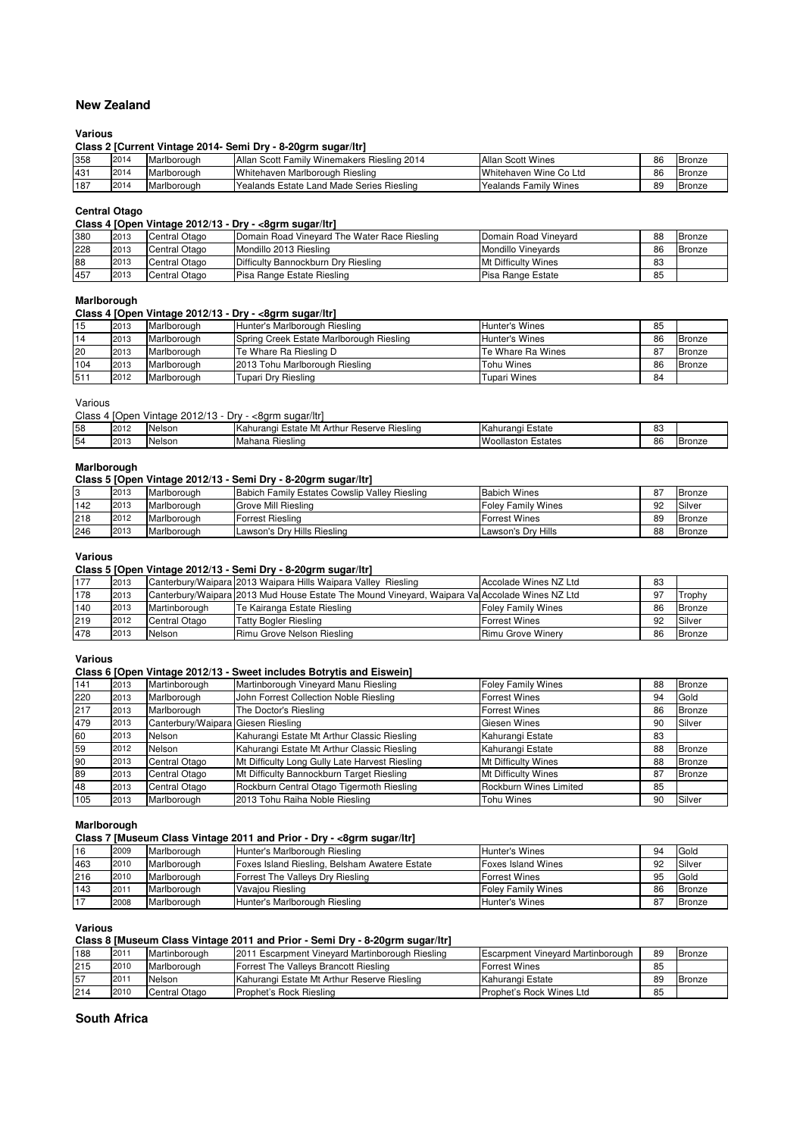# **New Zealand**

#### **Various**

**Class 2 [Current Vintage 2014- Semi Dry - 8-20grm sugar/ltr]**

| 358 | 2014 | Marlborough | Allan Scott Family Winemakers Riesling 2014 | Allan Scott Wines      | 86 | Bronze |
|-----|------|-------------|---------------------------------------------|------------------------|----|--------|
| 431 | 2014 | Marlborough | Whitehaven Marlborough Riesling             | Whitehaven Wine Co Ltd | 86 | Bronze |
| 187 | 2014 | Marlborough | l Yealands Estate Land Made Series Riesling | Yealands Family Wines  | 89 | Bronze |

#### **Central Otago**

#### **Class 4 [Open Vintage 2012/13 - Dry - <8grm sugar/ltr]**

| 380 | 2013 | Central Otago | Domain Road Vineyard The Water Race Riesling | Domain Road Vinevard       | 88 | Bronze |
|-----|------|---------------|----------------------------------------------|----------------------------|----|--------|
| 228 | 2013 | Central Otago | Mondillo 2013 Riesling                       | <b>Mondillo Vinevards</b>  | 86 | Bronze |
| 88  | 2013 | Central Otago | Difficulty Bannockburn Dry Riesling          | <b>Mt Difficulty Wines</b> | 83 |        |
| 457 | 2013 | Central Otago | Pisa Range Estate Riesling                   | Pisa Range Estate          | 85 |        |
|     |      |               |                                              |                            |    |        |

#### **Marlborough**

#### **Class 4 [Open Vintage 2012/13 - Dry - <8grm sugar/ltr]**

| 15  | 2013 | Marlborough | Hunter's Marlborough Riesling            | Hunter's Wines      | 85 |               |
|-----|------|-------------|------------------------------------------|---------------------|----|---------------|
| 14  | 2013 | Marlborough | Spring Creek Estate Marlborough Riesling | Hunter's Wines      | 86 | Bronze        |
| 20  | 2013 | Marlborough | Te Whare Ra Riesling D                   | Te Whare Ra Wines   | 87 | <b>Bronze</b> |
| 104 | 2013 | Marlborough | 2013 Tohu Marlborough Riesling           | Tohu Wines          | 86 | Bronze        |
| 511 | 2012 | Marlborough | Tupari Drv Riesling                      | <b>Tupari Wines</b> | 84 |               |

Various

Class 4 [Open Vintage 2012/13 - Dry - <8grm sugar/ltr]

| 58 | 2012 | Nelson | $\sim$<br>Arth<br>ve Rieslina<br>Mt<br>∧ahurangı ′<br><b>Reserve</b><br><b></b><br>state<br> | ∠state<br>.ahurand          | $\Omega$<br>ບບ |               |
|----|------|--------|----------------------------------------------------------------------------------------------|-----------------------------|----------------|---------------|
| 54 | 2013 | Nelson | Hieslina<br>Mahana                                                                           | states<br><b>Woollaston</b> | 86             | <b>Bronze</b> |

## **Marlborough**

#### **Class 5 [Open Vintage 2012/13 - Semi Dry - 8-20grm sugar/ltr]**

| $\sim$ | 2013 | Marlborough         | Babich Family Estates Cowslip Valley Riesling | <b>Babich Wines</b>  | 87 | Bronze |
|--------|------|---------------------|-----------------------------------------------|----------------------|----|--------|
| 142    | 2013 | Marlborough         | <b>Grove Mill Riesling</b>                    | Foley Family Wines   | 92 | Silver |
| 218    | 2012 | <b>IMarlborough</b> | Forrest Riesling                              | <b>Forrest Wines</b> | 89 | Bronze |
| 246    | 2013 | Marlborough         | Lawson's Dry Hills Riesling                   | Lawson's Dry Hills   | 88 | Bronze |

#### **Various**

#### **Class 5 [Open Vintage 2012/13 - Semi Dry - 8-20grm sugar/ltr]**

| 177 | 2013 |               | Canterbury/Waipara 2013 Waipara Hills Waipara Valley Riesling                                 | Accolade Wines NZ Ltd     | 83 |               |
|-----|------|---------------|-----------------------------------------------------------------------------------------------|---------------------------|----|---------------|
| 178 | 2013 |               | Canterbury/Waipara 2013 Mud House Estate The Mound Vineyard, Waipara Va Accolade Wines NZ Ltd |                           | 97 | Trophy        |
| 140 | 2013 | Martinborough | Te Kairanga Estate Riesling                                                                   | <b>Foley Family Wines</b> | 86 | <b>Bronze</b> |
| 219 | 2012 | Central Otago | <b>Tatty Bogler Riesling</b>                                                                  | <b>Forrest Wines</b>      | 92 | Silver        |
| 478 | 2013 | Nelson        | Rimu Grove Nelson Riesling                                                                    | Rimu Grove Winery         | 86 | <b>Bronze</b> |

#### **Various**

## **Class 6 [Open Vintage 2012/13 - Sweet includes Botrytis and Eiswein]**

| 141 | 2013 | Martinborough                      | Martinborough Vineyard Manu Riesling           | <b>Foley Family Wines</b>  | 88 | <b>Bronze</b> |
|-----|------|------------------------------------|------------------------------------------------|----------------------------|----|---------------|
| 220 | 2013 | Marlborough                        | John Forrest Collection Noble Riesling         | <b>Forrest Wines</b>       | 94 | Gold          |
| 217 | 2013 | Marlborough                        | The Doctor's Riesling                          | <b>Forrest Wines</b>       | 86 | <b>Bronze</b> |
| 479 | 2013 | Canterbury/Waipara Giesen Riesling |                                                | Giesen Wines               | 90 | Silver        |
| 60  | 2013 | Nelson                             | Kahurangi Estate Mt Arthur Classic Riesling    | Kahurangi Estate           | 83 |               |
| 59  | 2012 | Nelson                             | Kahurangi Estate Mt Arthur Classic Riesling    | Kahurangi Estate           | 88 | <b>Bronze</b> |
| 90  | 2013 | Central Otago                      | Mt Difficulty Long Gully Late Harvest Riesling | <b>Mt Difficulty Wines</b> | 88 | <b>Bronze</b> |
| 89  | 2013 | Central Otago                      | Mt Difficulty Bannockburn Target Riesling      | <b>Mt Difficulty Wines</b> | 87 | <b>Bronze</b> |
| 48  | 2013 | Central Otago                      | Rockburn Central Otago Tigermoth Riesling      | Rockburn Wines Limited     | 85 |               |
| 105 | 2013 | Marlborough                        | 2013 Tohu Raiha Noble Riesling                 | <b>Tohu Wines</b>          | 90 | Silver        |

#### **Marlborough**

## **Class 7 [Museum Class Vintage 2011 and Prior - Dry - <8grm sugar/ltr]**

| 16  | 2009    | Marlborough | Hunter's Marlborough Riesling                 | Hunter's Wines            | 94 | Gold          |
|-----|---------|-------------|-----------------------------------------------|---------------------------|----|---------------|
| 463 | 2010    | Marlborough | Foxes Island Riesling, Belsham Awatere Estate | <b>Foxes Island Wines</b> | 92 | Silver        |
| 216 | 2010    | Marlborough | Forrest The Valleys Dry Riesling              | <b>Forrest Wines</b>      | 95 | Gold          |
| 143 | $201 -$ | Marlborough | Vavajou Riesling                              | <b>Foley Family Wines</b> | 86 | <b>Bronze</b> |
| 17  | 2008    | Marlborough | Hunter's Marlborough Riesling                 | Hunter's Wines            | 87 | <b>Bronze</b> |

**Various**

#### **Class 8 [Museum Class Vintage 2011 and Prior - Semi Dry - 8-20grm sugar/ltr]**

| 188 | $201 -$ | Martinborough | 2011 Escarpment Vinevard Martinborough Riesling | <b>Escarpment Vineyard Martinborough</b> | 89 | Bronze |
|-----|---------|---------------|-------------------------------------------------|------------------------------------------|----|--------|
| 215 | 2010    | Marlborough   | Forrest The Valleys Brancott Riesling           | <b>Forrest Wines</b>                     | 85 |        |
| 57  | 201     | Nelson        | Kahurangi Estate Mt Arthur Reserve Riesling     | Kahurangi Estate                         | 89 | Bronze |
| 214 | 2010    | Central Otago | <b>IProphet's Rock Riesling</b>                 | Prophet's Rock Wines Ltd                 | 85 |        |

#### **South Africa**